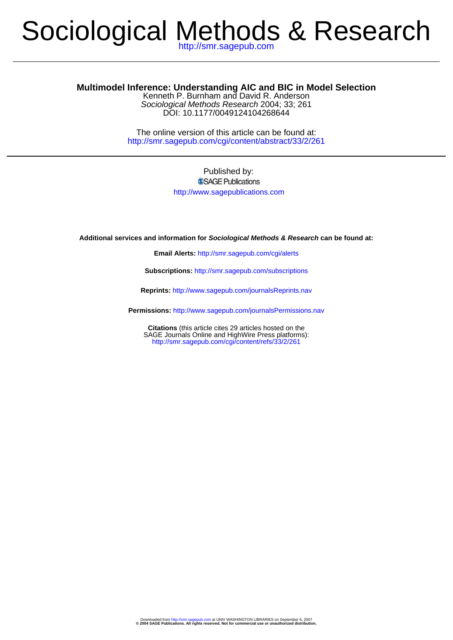# **Multimodel Inference: Understanding AIC and BIC in Model Selection**

DOI: 10.1177/0049124104268644 Sociological Methods Research 2004; 33; 261 Kenneth P. Burnham and David R. Anderson

http://smr.sagepub.com/cgi/content/abstract/33/2/261 The online version of this article can be found at:

> Published by: SSAGE Publications

http://www.sagepublications.com

**Additional services and information for Sociological Methods & Research can be found at:**

**Email Alerts:** <http://smr.sagepub.com/cgi/alerts>

**Subscriptions:** <http://smr.sagepub.com/subscriptions>

**Reprints:** <http://www.sagepub.com/journalsReprints.nav>

**Permissions:** <http://www.sagepub.com/journalsPermissions.nav>

<http://smr.sagepub.com/cgi/content/refs/33/2/261> SAGE Journals Online and HighWire Press platforms): **Citations** (this article cites 29 articles hosted on the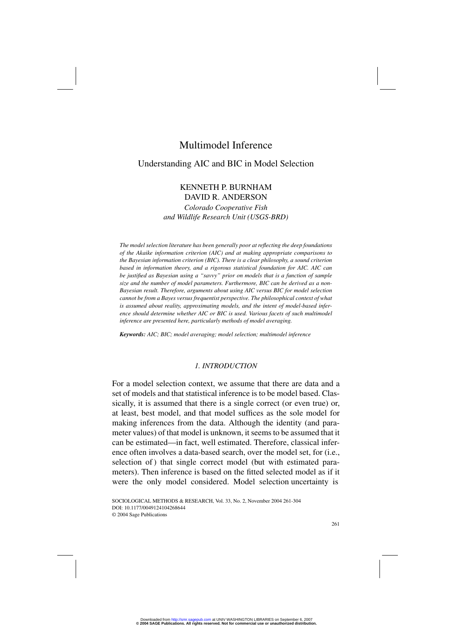# Multimodel Inference

# Understanding AIC and BIC in Model Selection

# KENNETH P. BURNHAM

DAVID R. ANDERSON *Colorado Cooperative Fish and Wildlife Research Unit (USGS-BRD)*

*The model selection literature has been generally poor at reflecting the deep foundations of the Akaike information criterion (AIC) and at making appropriate comparisons to the Bayesian information criterion (BIC). There is a clear philosophy, a sound criterion based in information theory, and a rigorous statistical foundation for AIC. AIC can be justified as Bayesian using a "savvy" prior on models that is a function of sample size and the number of model parameters. Furthermore, BIC can be derived as a non-Bayesian result. Therefore, arguments about using AIC versus BIC for model selection cannot be from a Bayes versus frequentist perspective. The philosophical context of what is assumed about reality, approximating models, and the intent of model-based inference should determine whether AIC or BIC is used. Various facets of such multimodel inference are presented here, particularly methods of model averaging.*

*Keywords: AIC; BIC; model averaging; model selection; multimodel inference*

# *1. INTRODUCTION*

For a model selection context, we assume that there are data and a set of models and that statistical inference is to be model based. Classically, it is assumed that there is a single correct (or even true) or, at least, best model, and that model suffices as the sole model for making inferences from the data. Although the identity (and parameter values) of that model is unknown, it seems to be assumed that it can be estimated—in fact, well estimated. Therefore, classical inference often involves a data-based search, over the model set, for (i.e., selection of) that single correct model (but with estimated parameters). Then inference is based on the fitted selected model as if it were the only model considered. Model selection uncertainty is

SOCIOLOGICAL METHODS & RESEARCH, Vol. 33, No. 2, November 2004 261-304 DOI: 10.1177/0049124104268644 © 2004 Sage Publications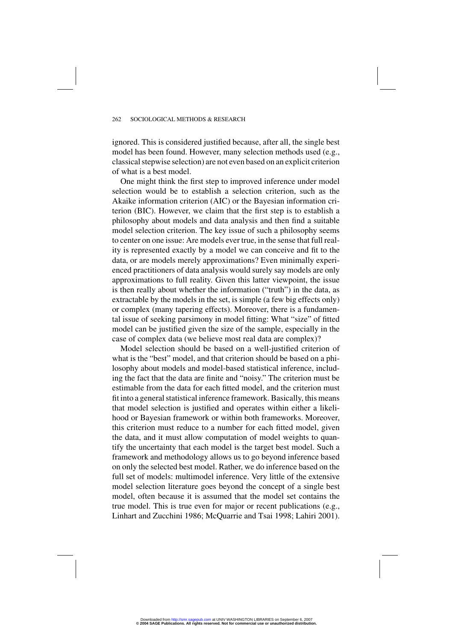ignored. This is considered justified because, after all, the single best model has been found. However, many selection methods used (e.g., classical stepwise selection) are not even based on an explicit criterion of what is a best model.

One might think the first step to improved inference under model selection would be to establish a selection criterion, such as the Akaike information criterion (AIC) or the Bayesian information criterion (BIC). However, we claim that the first step is to establish a philosophy about models and data analysis and then find a suitable model selection criterion. The key issue of such a philosophy seems to center on one issue: Are models ever true, in the sense that full reality is represented exactly by a model we can conceive and fit to the data, or are models merely approximations? Even minimally experienced practitioners of data analysis would surely say models are only approximations to full reality. Given this latter viewpoint, the issue is then really about whether the information ("truth") in the data, as extractable by the models in the set, is simple (a few big effects only) or complex (many tapering effects). Moreover, there is a fundamental issue of seeking parsimony in model fitting: What "size" of fitted model can be justified given the size of the sample, especially in the case of complex data (we believe most real data are complex)?

Model selection should be based on a well-justified criterion of what is the "best" model, and that criterion should be based on a philosophy about models and model-based statistical inference, including the fact that the data are finite and "noisy." The criterion must be estimable from the data for each fitted model, and the criterion must fit into a general statistical inference framework. Basically, this means that model selection is justified and operates within either a likelihood or Bayesian framework or within both frameworks. Moreover, this criterion must reduce to a number for each fitted model, given the data, and it must allow computation of model weights to quantify the uncertainty that each model is the target best model. Such a framework and methodology allows us to go beyond inference based on only the selected best model. Rather, we do inference based on the full set of models: multimodel inference. Very little of the extensive model selection literature goes beyond the concept of a single best model, often because it is assumed that the model set contains the true model. This is true even for major or recent publications (e.g., Linhart and Zucchini 1986; McQuarrie and Tsai 1998; Lahiri 2001).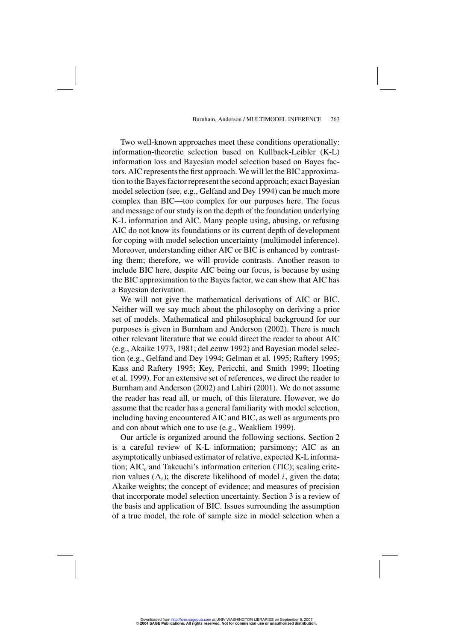#### Burnham, Anderson / MULTIMODEL INFERENCE 263

Two well-known approaches meet these conditions operationally: information-theoretic selection based on Kullback-Leibler (K-L) information loss and Bayesian model selection based on Bayes factors. AIC represents the first approach.We will let the BIC approximation to the Bayes factor represent the second approach; exact Bayesian model selection (see, e.g., Gelfand and Dey 1994) can be much more complex than BIC—too complex for our purposes here. The focus and message of our study is on the depth of the foundation underlying K-L information and AIC. Many people using, abusing, or refusing AIC do not know its foundations or its current depth of development for coping with model selection uncertainty (multimodel inference). Moreover, understanding either AIC or BIC is enhanced by contrasting them; therefore, we will provide contrasts. Another reason to include BIC here, despite AIC being our focus, is because by using the BIC approximation to the Bayes factor, we can show that AIC has a Bayesian derivation.

We will not give the mathematical derivations of AIC or BIC. Neither will we say much about the philosophy on deriving a prior set of models. Mathematical and philosophical background for our purposes is given in Burnham and Anderson (2002). There is much other relevant literature that we could direct the reader to about AIC (e.g., Akaike 1973, 1981; deLeeuw 1992) and Bayesian model selection (e.g., Gelfand and Dey 1994; Gelman et al. 1995; Raftery 1995; Kass and Raftery 1995; Key, Pericchi, and Smith 1999; Hoeting et al. 1999). For an extensive set of references, we direct the reader to Burnham and Anderson (2002) and Lahiri (2001). We do not assume the reader has read all, or much, of this literature. However, we do assume that the reader has a general familiarity with model selection, including having encountered AIC and BIC, as well as arguments pro and con about which one to use (e.g., Weakliem 1999).

Our article is organized around the following sections. Section 2 is a careful review of K-L information; parsimony; AIC as an asymptotically unbiased estimator of relative, expected K-L information;  $AIC<sub>c</sub>$  and Takeuchi's information criterion (TIC); scaling criterion values  $(\Delta_i)$ ; the discrete likelihood of model i, given the data; Akaike weights; the concept of evidence; and measures of precision that incorporate model selection uncertainty. Section 3 is a review of the basis and application of BIC. Issues surrounding the assumption of a true model, the role of sample size in model selection when a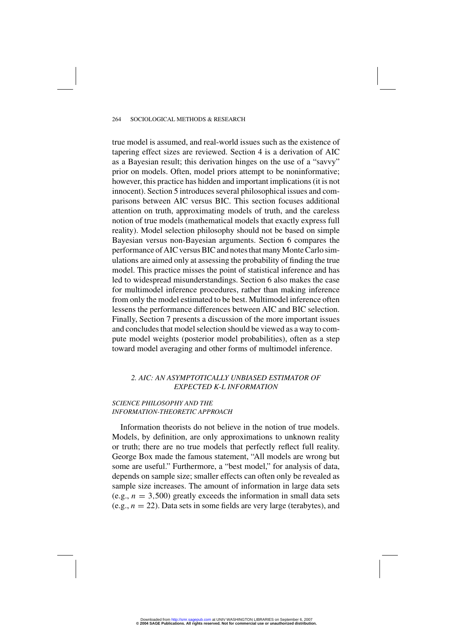true model is assumed, and real-world issues such as the existence of tapering effect sizes are reviewed. Section 4 is a derivation of AIC as a Bayesian result; this derivation hinges on the use of a "savvy" prior on models. Often, model priors attempt to be noninformative; however, this practice has hidden and important implications (it is not innocent). Section 5 introduces several philosophical issues and comparisons between AIC versus BIC. This section focuses additional attention on truth, approximating models of truth, and the careless notion of true models (mathematical models that exactly express full reality). Model selection philosophy should not be based on simple Bayesian versus non-Bayesian arguments. Section 6 compares the performance of AIC versus BIC and notes that many Monte Carlo simulations are aimed only at assessing the probability of finding the true model. This practice misses the point of statistical inference and has led to widespread misunderstandings. Section 6 also makes the case for multimodel inference procedures, rather than making inference from only the model estimated to be best. Multimodel inference often lessens the performance differences between AIC and BIC selection. Finally, Section 7 presents a discussion of the more important issues and concludes that model selection should be viewed as a way to compute model weights (posterior model probabilities), often as a step toward model averaging and other forms of multimodel inference.

# *2. AIC: AN ASYMPTOTICALLY UNBIASED ESTIMATOR OF EXPECTED K-L INFORMATION*

# *SCIENCE PHILOSOPHY AND THE INFORMATION-THEORETIC APPROACH*

Information theorists do not believe in the notion of true models. Models, by definition, are only approximations to unknown reality or truth; there are no true models that perfectly reflect full reality. George Box made the famous statement, "All models are wrong but some are useful." Furthermore, a "best model," for analysis of data, depends on sample size; smaller effects can often only be revealed as sample size increases. The amount of information in large data sets (e.g.,  $n = 3,500$ ) greatly exceeds the information in small data sets (e.g.,  $n = 22$ ). Data sets in some fields are very large (terabytes), and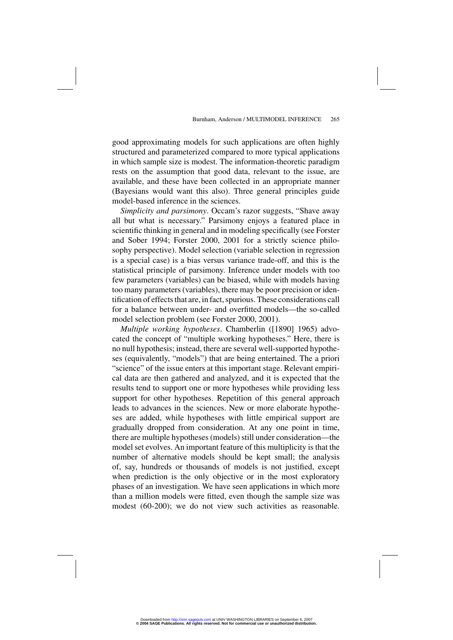good approximating models for such applications are often highly structured and parameterized compared to more typical applications in which sample size is modest. The information-theoretic paradigm rests on the assumption that good data, relevant to the issue, are available, and these have been collected in an appropriate manner (Bayesians would want this also). Three general principles guide model-based inference in the sciences.

*Simplicity and parsimony*. Occam's razor suggests, "Shave away all but what is necessary." Parsimony enjoys a featured place in scientific thinking in general and in modeling specifically (see Forster and Sober 1994; Forster 2000, 2001 for a strictly science philosophy perspective). Model selection (variable selection in regression is a special case) is a bias versus variance trade-off, and this is the statistical principle of parsimony. Inference under models with too few parameters (variables) can be biased, while with models having too many parameters (variables), there may be poor precision or identification of effects that are, in fact, spurious. These considerations call for a balance between under- and overfitted models—the so-called model selection problem (see Forster 2000, 2001).

*Multiple working hypotheses*. Chamberlin ([1890] 1965) advocated the concept of "multiple working hypotheses." Here, there is no null hypothesis; instead, there are several well-supported hypotheses (equivalently, "models") that are being entertained. The a priori "science" of the issue enters at this important stage. Relevant empirical data are then gathered and analyzed, and it is expected that the results tend to support one or more hypotheses while providing less support for other hypotheses. Repetition of this general approach leads to advances in the sciences. New or more elaborate hypotheses are added, while hypotheses with little empirical support are gradually dropped from consideration. At any one point in time, there are multiple hypotheses (models) still under consideration—the model set evolves. An important feature of this multiplicity is that the number of alternative models should be kept small; the analysis of, say, hundreds or thousands of models is not justified, except when prediction is the only objective or in the most exploratory phases of an investigation. We have seen applications in which more than a million models were fitted, even though the sample size was modest (60-200); we do not view such activities as reasonable.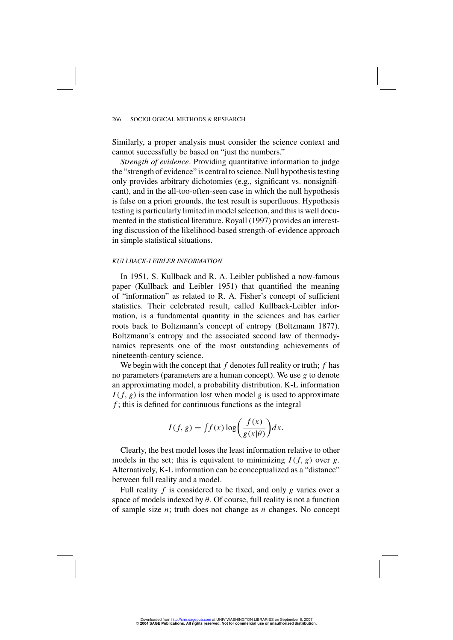Similarly, a proper analysis must consider the science context and cannot successfully be based on "just the numbers."

*Strength of evidence*. Providing quantitative information to judge the "strength of evidence" is central to science. Null hypothesis testing only provides arbitrary dichotomies (e.g., significant vs. nonsignificant), and in the all-too-often-seen case in which the null hypothesis is false on a priori grounds, the test result is superfluous. Hypothesis testing is particularly limited in model selection, and this is well documented in the statistical literature. Royall (1997) provides an interesting discussion of the likelihood-based strength-of-evidence approach in simple statistical situations.

# *KULLBACK-LEIBLER INFORMATION*

In 1951, S. Kullback and R. A. Leibler published a now-famous paper (Kullback and Leibler 1951) that quantified the meaning of "information" as related to R. A. Fisher's concept of sufficient statistics. Their celebrated result, called Kullback-Leibler information, is a fundamental quantity in the sciences and has earlier roots back to Boltzmann's concept of entropy (Boltzmann 1877). Boltzmann's entropy and the associated second law of thermodynamics represents one of the most outstanding achievements of nineteenth-century science.

We begin with the concept that  $f$  denotes full reality or truth;  $f$  has no parameters (parameters are a human concept). We use g to denote an approximating model, a probability distribution. K-L information  $I(f, g)$  is the information lost when model g is used to approximate  $f$ ; this is defined for continuous functions as the integral

$$
I(f, g) = \int f(x) \log \left( \frac{f(x)}{g(x|\theta)} \right) dx.
$$

Clearly, the best model loses the least information relative to other models in the set; this is equivalent to minimizing  $I(f, g)$  over g. Alternatively, K-L information can be conceptualized as a "distance" between full reality and a model.

Full reality  $f$  is considered to be fixed, and only g varies over a space of models indexed by  $\theta$ . Of course, full reality is not a function of sample size  $n$ ; truth does not change as  $n$  changes. No concept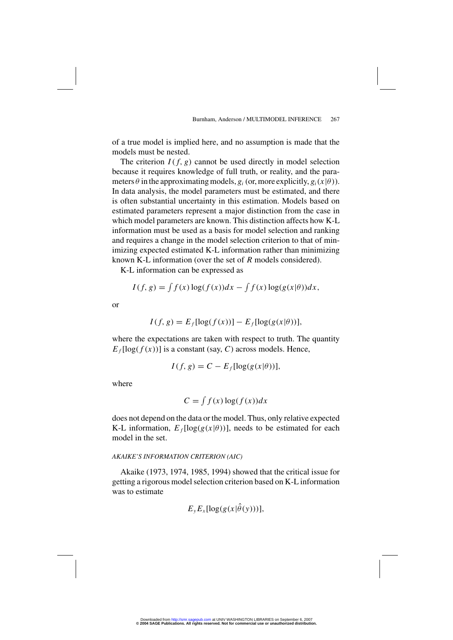of a true model is implied here, and no assumption is made that the models must be nested.

The criterion  $I(f, g)$  cannot be used directly in model selection because it requires knowledge of full truth, or reality, and the parameters  $\theta$  in the approximating models,  $g_i$  (or, more explicitly,  $g_i(x|\theta)$ ). In data analysis, the model parameters must be estimated, and there is often substantial uncertainty in this estimation. Models based on estimated parameters represent a major distinction from the case in which model parameters are known. This distinction affects how K-L information must be used as a basis for model selection and ranking and requires a change in the model selection criterion to that of minimizing expected estimated K-L information rather than minimizing known K-L information (over the set of R models considered).

K-L information can be expressed as

$$
I(f, g) = \int f(x) \log(f(x)) dx - \int f(x) \log(g(x|\theta)) dx,
$$

or

$$
I(f, g) = Ef[\log(f(x))] - Ef[\log(g(x|\theta))],
$$

where the expectations are taken with respect to truth. The quantity  $E_f$ [log( $f(x)$ )] is a constant (say, C) across models. Hence,

$$
I(f, g) = C - E_f[\log(g(x|\theta))],
$$

where

$$
C = \int f(x) \log(f(x)) dx
$$

does not depend on the data or the model. Thus, only relative expected K-L information,  $E_f[log(g(x|\theta))]$ , needs to be estimated for each model in the set.

# *AKAIKE'S INFORMATION CRITERION (AIC)*

Akaike (1973, 1974, 1985, 1994) showed that the critical issue for getting a rigorous model selection criterion based on K-L information was to estimate

$$
E_{y}E_{x}[\log(g(x|\hat{\theta}(y)))],
$$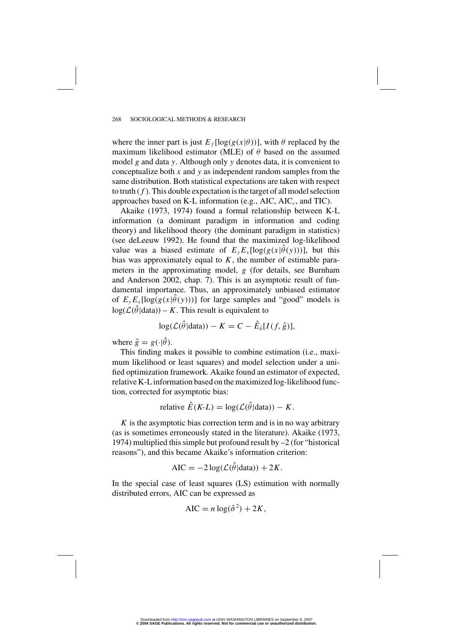where the inner part is just  $E_f[log(g(x|\theta))]$ , with  $\theta$  replaced by the maximum likelihood estimator (MLE) of  $\theta$  based on the assumed model g and data y. Although only y denotes data, it is convenient to conceptualize both  $x$  and  $y$  as independent random samples from the same distribution. Both statistical expectations are taken with respect to truth  $(f)$ . This double expectation is the target of all model selection approaches based on K-L information (e.g., AIC, AIC<sub>c</sub>, and TIC).

Akaike (1973, 1974) found a formal relationship between K-L information (a dominant paradigm in information and coding theory) and likelihood theory (the dominant paradigm in statistics) (see deLeeuw 1992). He found that the maximized log-likelihood value was a biased estimate of  $E_y E_x [\log(g(x|\hat{\theta}(y)))]$ , but this bias was approximately equal to  $K$ , the number of estimable parameters in the approximating model,  $g$  (for details, see Burnham and Anderson 2002, chap. 7). This is an asymptotic result of fundamental importance. Thus, an approximately unbiased estimator of  $E_yE_x[log(g(x|\hat{\theta}(y)))]$  for large samples and "good" models is  $log(\mathcal{L}(\hat{\theta} | \text{data})) - K$ . This result is equivalent to

$$
\log(\mathcal{L}(\hat{\theta}|\text{data})) - K = C - \hat{E}_{\hat{\theta}}[I(f, \hat{g})],
$$

where  $\hat{g} = g(\cdot|\hat{\theta})$ .

This finding makes it possible to combine estimation (i.e., maximum likelihood or least squares) and model selection under a unified optimization framework. Akaike found an estimator of expected, relative K-L information based on the maximized log-likelihood function, corrected for asymptotic bias:

relative 
$$
\hat{E}(K-L) = \log(\mathcal{L}(\hat{\theta}|\text{data})) - K.
$$

 $K$  is the asymptotic bias correction term and is in no way arbitrary (as is sometimes erroneously stated in the literature). Akaike (1973, 1974) multiplied this simple but profound result by –2 (for "historical reasons"), and this became Akaike's information criterion:

$$
AIC = -2\log(\mathcal{L}(\hat{\theta}|\text{data})) + 2K.
$$

In the special case of least squares (LS) estimation with normally distributed errors, AIC can be expressed as

$$
AIC = n \log(\hat{\sigma}^2) + 2K,
$$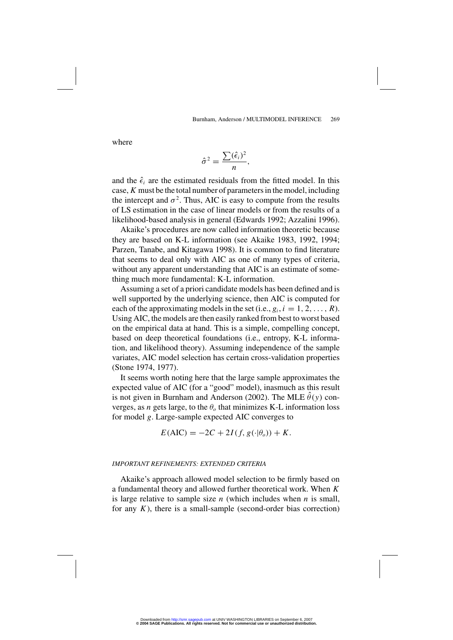where

$$
\hat{\sigma}^2 = \frac{\sum (\hat{\epsilon}_i)^2}{n},
$$

and the  $\hat{\epsilon}_i$  are the estimated residuals from the fitted model. In this case,  $K$  must be the total number of parameters in the model, including the intercept and  $\sigma^2$ . Thus, AIC is easy to compute from the results of LS estimation in the case of linear models or from the results of a likelihood-based analysis in general (Edwards 1992; Azzalini 1996).

Akaike's procedures are now called information theoretic because they are based on K-L information (see Akaike 1983, 1992, 1994; Parzen, Tanabe, and Kitagawa 1998). It is common to find literature that seems to deal only with AIC as one of many types of criteria, without any apparent understanding that AIC is an estimate of something much more fundamental: K-L information.

Assuming a set of a priori candidate models has been defined and is well supported by the underlying science, then AIC is computed for each of the approximating models in the set (i.e.,  $g_i$ ,  $i = 1, 2, \ldots, R$ ). Using AIC, the models are then easily ranked from best to worst based on the empirical data at hand. This is a simple, compelling concept, based on deep theoretical foundations (i.e., entropy, K-L information, and likelihood theory). Assuming independence of the sample variates, AIC model selection has certain cross-validation properties (Stone 1974, 1977).

It seems worth noting here that the large sample approximates the expected value of AIC (for a "good" model), inasmuch as this result is not given in Burnham and Anderson (2002). The MLE  $\hat{\theta}(y)$  converges, as *n* gets large, to the  $\theta$ <sub>*c*</sub> that minimizes K-L information loss for model g. Large-sample expected AIC converges to

$$
E(\text{AIC}) = -2C + 2I(f, g(\cdot|\theta_o)) + K.
$$

### *IMPORTANT REFINEMENTS: EXTENDED CRITERIA*

Akaike's approach allowed model selection to be firmly based on a fundamental theory and allowed further theoretical work. When K is large relative to sample size *n* (which includes when *n* is small, for any  $K$ ), there is a small-sample (second-order bias correction)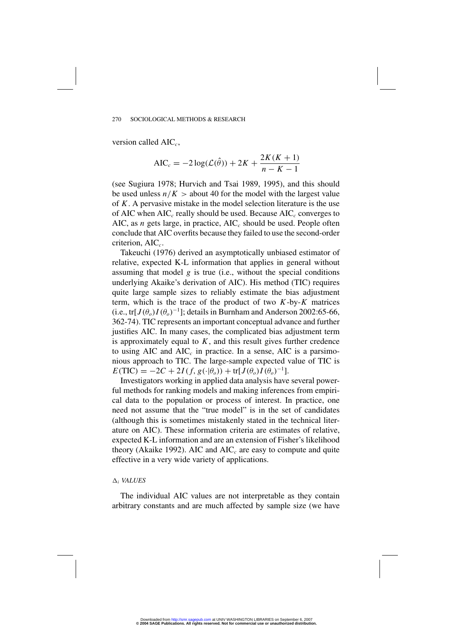version called  $AIC<sub>c</sub>$ ,

$$
AIC_c = -2\log(\mathcal{L}(\hat{\theta})) + 2K + \frac{2K(K+1)}{n - K - 1}
$$

(see Sugiura 1978; Hurvich and Tsai 1989, 1995), and this should be used unless  $n/K >$  about 40 for the model with the largest value of  $K$ . A pervasive mistake in the model selection literature is the use of AIC when  $AIC<sub>c</sub>$  really should be used. Because  $AIC<sub>c</sub>$  converges to AIC, as *n* gets large, in practice,  $AIC_c$  should be used. People often conclude that AIC overfits because they failed to use the second-order criterion,  $AIC<sub>c</sub>$ .

Takeuchi (1976) derived an asymptotically unbiased estimator of relative, expected K-L information that applies in general without assuming that model  $g$  is true (i.e., without the special conditions underlying Akaike's derivation of AIC). His method (TIC) requires quite large sample sizes to reliably estimate the bias adjustment term, which is the trace of the product of two  $K$ -by- $K$  matrices (i.e., tr[ $J(\theta_o)I(\theta_o)^{-1}$ ]; details in Burnham and Anderson 2002:65-66, 362-74). TIC represents an important conceptual advance and further justifies AIC. In many cases, the complicated bias adjustment term is approximately equal to  $K$ , and this result gives further credence to using AIC and  $AIC<sub>c</sub>$  in practice. In a sense, AIC is a parsimonious approach to TIC. The large-sample expected value of TIC is  $E(TIC) = -2C + 2I(f, g(\cdot|\theta_o)) + \text{tr}[J(\theta_o)I(\theta_o)^{-1}].$ 

Investigators working in applied data analysis have several powerful methods for ranking models and making inferences from empirical data to the population or process of interest. In practice, one need not assume that the "true model" is in the set of candidates (although this is sometimes mistakenly stated in the technical literature on AIC). These information criteria are estimates of relative, expected K-L information and are an extension of Fisher's likelihood theory (Akaike 1992). AIC and  $AIC<sub>c</sub>$  are easy to compute and quite effective in a very wide variety of applications.

# $\Delta_i$  *VALUES*

The individual AIC values are not interpretable as they contain arbitrary constants and are much affected by sample size (we have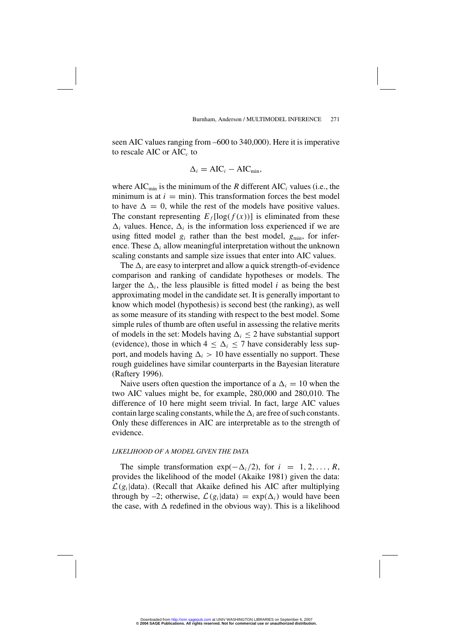seen AIC values ranging from –600 to 340,000). Here it is imperative to rescale AIC or  $AIC<sub>c</sub>$  to

$$
\Delta_i = AIC_i - AIC_{min},
$$

where  $AIC_{min}$  is the minimum of the R different  $AIC_i$  values (i.e., the minimum is at  $i = \min$ ). This transformation forces the best model to have  $\Delta = 0$ , while the rest of the models have positive values. The constant representing  $E_f[log(f(x))]$  is eliminated from these  $\Delta_i$  values. Hence,  $\Delta_i$  is the information loss experienced if we are using fitted model  $g_i$  rather than the best model,  $g_{min}$ , for inference. These  $\Delta_i$  allow meaningful interpretation without the unknown scaling constants and sample size issues that enter into AIC values.

The  $\Delta_i$  are easy to interpret and allow a quick strength-of-evidence comparison and ranking of candidate hypotheses or models. The larger the  $\Delta_i$ , the less plausible is fitted model i as being the best approximating model in the candidate set. It is generally important to know which model (hypothesis) is second best (the ranking), as well as some measure of its standing with respect to the best model. Some simple rules of thumb are often useful in assessing the relative merits of models in the set: Models having  $\Delta_i \leq 2$  have substantial support (evidence), those in which  $4 \leq \Delta_i \leq 7$  have considerably less support, and models having  $\Delta_i > 10$  have essentially no support. These rough guidelines have similar counterparts in the Bayesian literature (Raftery 1996).

Naive users often question the importance of a  $\Delta_i = 10$  when the two AIC values might be, for example, 280,000 and 280,010. The difference of 10 here might seem trivial. In fact, large AIC values contain large scaling constants, while the  $\Delta_i$  are free of such constants. Only these differences in AIC are interpretable as to the strength of evidence.

### *LIKELIHOOD OF A MODEL GIVEN THE DATA*

The simple transformation exp( $-\Delta_i/2$ ), for  $i = 1, 2, ..., R$ , provides the likelihood of the model (Akaike 1981) given the data:  $\mathcal{L}(g_i|data)$ . (Recall that Akaike defined his AIC after multiplying through by –2; otherwise,  $\mathcal{L}(g_i|data) = \exp(\Delta_i)$  would have been the case, with  $\Delta$  redefined in the obvious way). This is a likelihood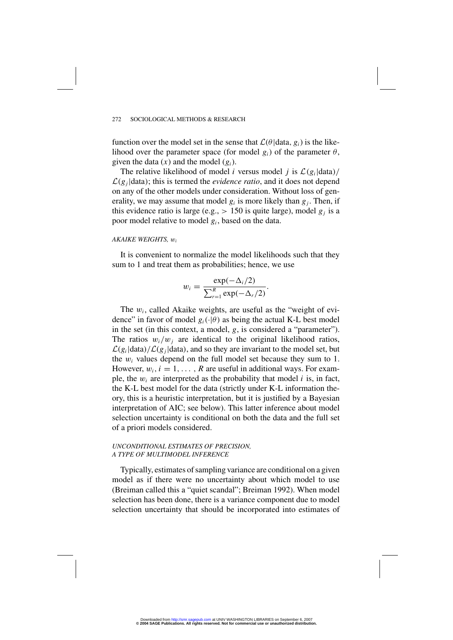function over the model set in the sense that  $\mathcal{L}(\theta | \text{data}, g_i)$  is the likelihood over the parameter space (for model  $g_i$ ) of the parameter  $\theta$ , given the data  $(x)$  and the model  $(g<sub>i</sub>)$ .

The relative likelihood of model *i* versus model *j* is  $\mathcal{L}(g_i|data)$  $\mathcal{L}(g_i | \text{data})$ ; this is termed the *evidence ratio*, and it does not depend on any of the other models under consideration. Without loss of generality, we may assume that model  $g_i$  is more likely than  $g_i$ . Then, if this evidence ratio is large (e.g.,  $> 150$  is quite large), model  $g_i$  is a poor model relative to model  $g_i$ , based on the data.

### *AKAIKE WEIGHTS,* wi

It is convenient to normalize the model likelihoods such that they sum to 1 and treat them as probabilities; hence, we use

$$
w_i = \frac{\exp(-\Delta_i/2)}{\sum_{r=1}^R \exp(-\Delta_r/2)}.
$$

The  $w_i$ , called Akaike weights, are useful as the "weight of evidence" in favor of model  $g_i(\cdot|\theta)$  as being the actual K-L best model in the set (in this context, a model, g, is considered a "parameter"). The ratios  $w_i/w_j$  are identical to the original likelihood ratios,  $\mathcal{L}(g_i|data)/\mathcal{L}(g_j|data)$ , and so they are invariant to the model set, but the  $w_i$  values depend on the full model set because they sum to 1. However,  $w_i$ ,  $i = 1, \ldots, R$  are useful in additional ways. For example, the  $w_i$  are interpreted as the probability that model i is, in fact, the K-L best model for the data (strictly under K-L information theory, this is a heuristic interpretation, but it is justified by a Bayesian interpretation of AIC; see below). This latter inference about model selection uncertainty is conditional on both the data and the full set of a priori models considered.

# *UNCONDITIONAL ESTIMATES OF PRECISION, A TYPE OF MULTIMODEL INFERENCE*

Typically, estimates of sampling variance are conditional on a given model as if there were no uncertainty about which model to use (Breiman called this a "quiet scandal"; Breiman 1992). When model selection has been done, there is a variance component due to model selection uncertainty that should be incorporated into estimates of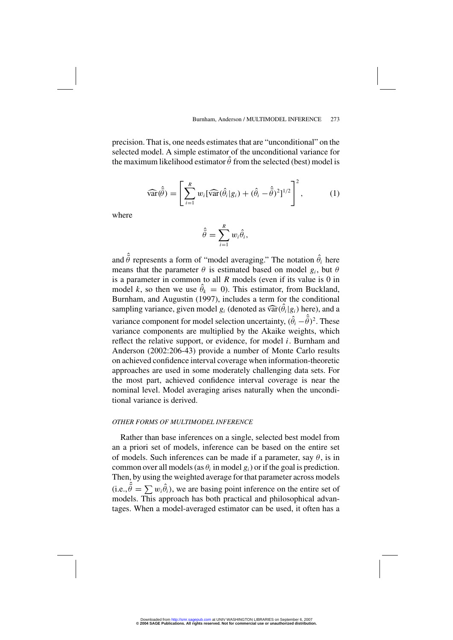precision. That is, one needs estimates that are "unconditional" on the selected model. A simple estimator of the unconditional variance for the maximum likelihood estimator  $\hat{\theta}$  from the selected (best) model is

$$
\widehat{\text{var}}(\widehat{\widehat{\theta}}) = \left[ \sum_{i=1}^{R} w_i [\widehat{\text{var}}(\widehat{\theta}_i | g_i) + (\widehat{\theta}_i - \widehat{\widehat{\theta}})^2]^{1/2} \right]^2, \quad (1)
$$

where

$$
\hat{\hat{\theta}} = \sum_{i=1}^R w_i \hat{\theta}_i,
$$

and  $\hat{\hat{\theta}}$  represents a form of "model averaging." The notation  $\hat{\theta}_i$  here means that the parameter  $\theta$  is estimated based on model  $g_i$ , but  $\theta$ is a parameter in common to all  *models (even if its value is 0 in* model k, so then we use  $\hat{\theta}_k = 0$ ). This estimator, from Buckland, Burnham, and Augustin (1997), includes a term for the conditional sampling variance, given model  $g_i$  (denoted as  $\widehat{\text{var}}(\hat{\theta}_i|g_i)$  here), and a variance component for model selection uncertainty,  $(\hat{\theta}_i - \hat{\bar{\theta}})^2$ . These variance components are multiplied by the Akaike weights, which reflect the relative support, or evidence, for model *i*. Burnham and Anderson (2002:206-43) provide a number of Monte Carlo results on achieved confidence interval coverage when information-theoretic approaches are used in some moderately challenging data sets. For the most part, achieved confidence interval coverage is near the nominal level. Model averaging arises naturally when the unconditional variance is derived.

# *OTHER FORMS OF MULTIMODEL INFERENCE*

Rather than base inferences on a single, selected best model from an a priori set of models, inference can be based on the entire set of models. Such inferences can be made if a parameter, say  $\theta$ , is in common over all models (as  $\theta_i$  in model  $g_i$ ) or if the goal is prediction. Then, by using the weighted average for that parameter across models (i.e.,  $\hat{\hat{\theta}} = \sum w_i \hat{\theta}_i$ ), we are basing point inference on the entire set of models. This approach has both practical and philosophical advantages. When a model-averaged estimator can be used, it often has a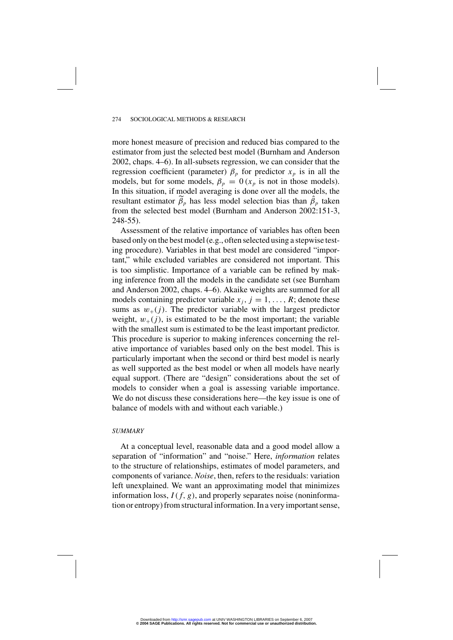more honest measure of precision and reduced bias compared to the estimator from just the selected best model (Burnham and Anderson 2002, chaps. 4–6). In all-subsets regression, we can consider that the regression coefficient (parameter)  $\beta_p$  for predictor  $x_p$  is in all the models, but for some models,  $\beta_p = 0$  ( $x_p$  is not in those models). In this situation, if model averaging is done over all the models, the resultant estimator  $\tilde{\beta}_p$  has less model selection bias than  $\hat{\beta}_p$  taken from the selected best model (Burnham and Anderson 2002:151-3, 248-55).

Assessment of the relative importance of variables has often been based only on the best model (e.g., often selected using a stepwise testing procedure). Variables in that best model are considered "important," while excluded variables are considered not important. This is too simplistic. Importance of a variable can be refined by making inference from all the models in the candidate set (see Burnham and Anderson 2002, chaps. 4–6). Akaike weights are summed for all models containing predictor variable  $x_j$ ,  $j = 1, \ldots, R$ ; denote these sums as  $w_{+}(i)$ . The predictor variable with the largest predictor weight,  $w_{+}(i)$ , is estimated to be the most important; the variable with the smallest sum is estimated to be the least important predictor. This procedure is superior to making inferences concerning the relative importance of variables based only on the best model. This is particularly important when the second or third best model is nearly as well supported as the best model or when all models have nearly equal support. (There are "design" considerations about the set of models to consider when a goal is assessing variable importance. We do not discuss these considerations here—the key issue is one of balance of models with and without each variable.)

### *SUMMARY*

At a conceptual level, reasonable data and a good model allow a separation of "information" and "noise." Here, *information* relates to the structure of relationships, estimates of model parameters, and components of variance. *Noise*, then, refers to the residuals: variation left unexplained. We want an approximating model that minimizes information loss,  $I(f, g)$ , and properly separates noise (noninformation or entropy) from structural information. In a very important sense,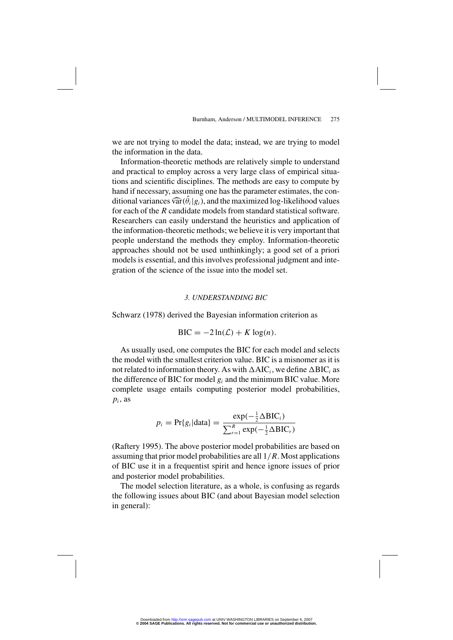we are not trying to model the data; instead, we are trying to model the information in the data.

Information-theoretic methods are relatively simple to understand and practical to employ across a very large class of empirical situations and scientific disciplines. The methods are easy to compute by hand if necessary, assuming one has the parameter estimates, the conditional variances  $\widehat{\text{var}}(\hat{\theta}_i|g_i)$ , and the maximized log-likelihood values for each of the R candidate models from standard statistical software. Researchers can easily understand the heuristics and application of the information-theoretic methods; we believe it is very important that people understand the methods they employ. Information-theoretic approaches should not be used unthinkingly; a good set of a priori models is essential, and this involves professional judgment and integration of the science of the issue into the model set.

### *3. UNDERSTANDING BIC*

Schwarz (1978) derived the Bayesian information criterion as

$$
BIC = -2\ln(\mathcal{L}) + K\log(n).
$$

As usually used, one computes the BIC for each model and selects the model with the smallest criterion value. BIC is a misnomer as it is not related to information theory. As with  $\Delta AIC_i$ , we define  $\Delta BIC_i$  as the difference of BIC for model  $g_i$  and the minimum BIC value. More complete usage entails computing posterior model probabilities,  $p_i$ , as

$$
p_i = \Pr\{g_i | \text{data}\} = \frac{\exp(-\frac{1}{2}\Delta \text{BIC}_i)}{\sum_{r=1}^R \exp(-\frac{1}{2}\Delta \text{BIC}_r)}
$$

(Raftery 1995). The above posterior model probabilities are based on assuming that prior model probabilities are all  $1/R$ . Most applications of BIC use it in a frequentist spirit and hence ignore issues of prior and posterior model probabilities.

The model selection literature, as a whole, is confusing as regards the following issues about BIC (and about Bayesian model selection in general):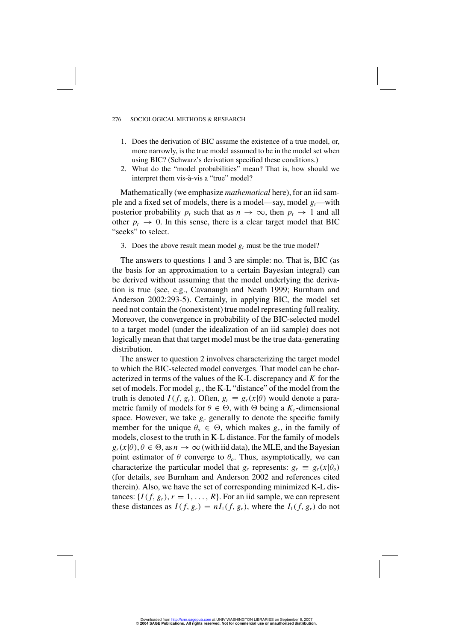- 1. Does the derivation of BIC assume the existence of a true model, or, more narrowly, is the true model assumed to be in the model set when using BIC? (Schwarz's derivation specified these conditions.)
- 2. What do the "model probabilities" mean? That is, how should we interpret them vis-à-vis a "true" model?

Mathematically (we emphasize *mathematical* here), for an iid sample and a fixed set of models, there is a model—say, model  $g_t$ —with posterior probability  $p_t$  such that as  $n \to \infty$ , then  $p_t \to 1$  and all other  $p_r \to 0$ . In this sense, there is a clear target model that BIC "seeks" to select.

3. Does the above result mean model  $g_t$  must be the true model?

The answers to questions 1 and 3 are simple: no. That is, BIC (as the basis for an approximation to a certain Bayesian integral) can be derived without assuming that the model underlying the derivation is true (see, e.g., Cavanaugh and Neath 1999; Burnham and Anderson 2002:293-5). Certainly, in applying BIC, the model set need not contain the (nonexistent) true model representing full reality. Moreover, the convergence in probability of the BIC-selected model to a target model (under the idealization of an iid sample) does not logically mean that that target model must be the true data-generating distribution.

The answer to question 2 involves characterizing the target model to which the BIC-selected model converges. That model can be characterized in terms of the values of the K-L discrepancy and  $K$  for the set of models. For model  $g_r$ , the K-L "distance" of the model from the truth is denoted  $I(f, g_r)$ . Often,  $g_r \equiv g_r(x|\theta)$  would denote a parametric family of models for  $\theta \in \Theta$ , with  $\Theta$  being a  $K_r$ -dimensional space. However, we take  $g_r$  generally to denote the specific family member for the unique  $\theta_o \in \Theta$ , which makes  $g_r$ , in the family of models, closest to the truth in K-L distance. For the family of models  $g_r(x|\theta), \theta \in \Theta$ , as  $n \to \infty$  (with iid data), the MLE, and the Bayesian point estimator of  $\theta$  converge to  $\theta_o$ . Thus, asymptotically, we can characterize the particular model that  $g_r$  represents:  $g_r \equiv g_r(x|\theta_o)$ (for details, see Burnham and Anderson 2002 and references cited therein). Also, we have the set of corresponding minimized K-L distances:  $\{I(f, g_r), r = 1, ..., R\}$ . For an iid sample, we can represent these distances as  $I(f, g_r) = nI_1(f, g_r)$ , where the  $I_1(f, g_r)$  do not

**© 2004 SAGE Publications. All rights reserved. Not for commercial use or unauthorized distribution.** Downloaded from<http://smr.sagepub.com>at UNIV WASHINGTON LIBRARIES on September 6, 2007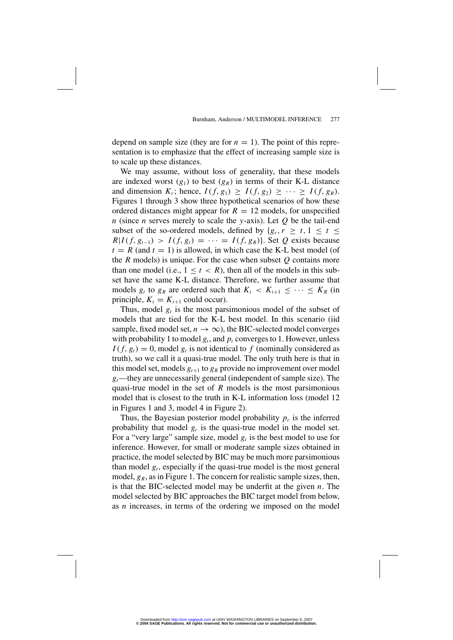depend on sample size (they are for  $n = 1$ ). The point of this representation is to emphasize that the effect of increasing sample size is to scale up these distances.

We may assume, without loss of generality, that these models are indexed worst  $(g_1)$  to best  $(g_R)$  in terms of their K-L distance and dimension  $K_r$ ; hence,  $I(f, g_1) \geq I(f, g_2) \geq \cdots \geq I(f, g_R)$ . Figures 1 through 3 show three hypothetical scenarios of how these ordered distances might appear for  $R = 12$  models, for unspecified n (since n serves merely to scale the y-axis). Let  $Q$  be the tail-end subset of the so-ordered models, defined by  $\{g_r, r \geq t, 1 \leq t \leq t\}$  $R|I(f, g_{t-1}) > I(f, g_t) = \cdots = I(f, g_R)$ . Set Q exists because  $t = R$  (and  $t = 1$ ) is allowed, in which case the K-L best model (of the R models) is unique. For the case when subset  $O$  contains more than one model (i.e.,  $1 \le t < R$ ), then all of the models in this subset have the same K-L distance. Therefore, we further assume that models  $g_t$  to  $g_R$  are ordered such that  $K_t < K_{t+1} \leq \cdots \leq K_R$  (in principle,  $K_t = K_{t+1}$  could occur).

Thus, model  $g_t$  is the most parsimonious model of the subset of models that are tied for the K-L best model. In this scenario (iid sample, fixed model set,  $n \to \infty$ ), the BIC-selected model converges with probability 1 to model  $g_t$ , and  $p_t$  converges to 1. However, unless  $I(f, g_t) = 0$ , model  $g_t$  is not identical to f (nominally considered as truth), so we call it a quasi-true model. The only truth here is that in this model set, models  $g_{t+1}$  to  $g_R$  provide no improvement over model  $g_t$ —they are unnecessarily general (independent of sample size). The quasi-true model in the set of  $R$  models is the most parsimonious model that is closest to the truth in K-L information loss (model 12 in Figures 1 and 3, model 4 in Figure 2).

Thus, the Bayesian posterior model probability  $p_r$  is the inferred probability that model  $g_r$  is the quasi-true model in the model set. For a "very large" sample size, model  $g_t$  is the best model to use for inference. However, for small or moderate sample sizes obtained in practice, the model selected by BIC may be much more parsimonious than model  $g_t$ , especially if the quasi-true model is the most general model,  $g_R$ , as in Figure 1. The concern for realistic sample sizes, then, is that the BIC-selected model may be underfit at the given  $n$ . The model selected by BIC approaches the BIC target model from below, as  $n$  increases, in terms of the ordering we imposed on the model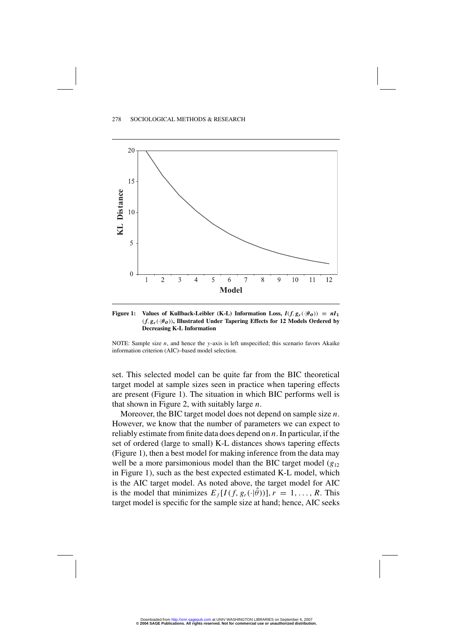

**Figure 1:** Values of Kullback-Leibler (K-L) Information Loss,  $I(f, g_r(\cdot|\theta_o)) \equiv nI_1$ (*f*, *g<sup>r</sup>* (·|*θo*))**, Illustrated Under Tapering Effects for 12 Models Ordered by Decreasing K-L Information**

NOTE: Sample size  $n$ , and hence the y-axis is left unspecified; this scenario favors Akaike information criterion (AIC)–based model selection.

set. This selected model can be quite far from the BIC theoretical target model at sample sizes seen in practice when tapering effects are present (Figure 1). The situation in which BIC performs well is that shown in Figure 2, with suitably large  $n$ .

Moreover, the BIC target model does not depend on sample size  $n$ . However, we know that the number of parameters we can expect to reliably estimate from finite data does depend on  $n$ . In particular, if the set of ordered (large to small) K-L distances shows tapering effects (Figure 1), then a best model for making inference from the data may well be a more parsimonious model than the BIC target model  $(g_{12})$ in Figure 1), such as the best expected estimated K-L model, which is the AIC target model. As noted above, the target model for AIC is the model that minimizes  $E_f[I(f, g_r(\cdot|\hat{\theta}))], r = 1, ..., R$ . This target model is specific for the sample size at hand; hence, AIC seeks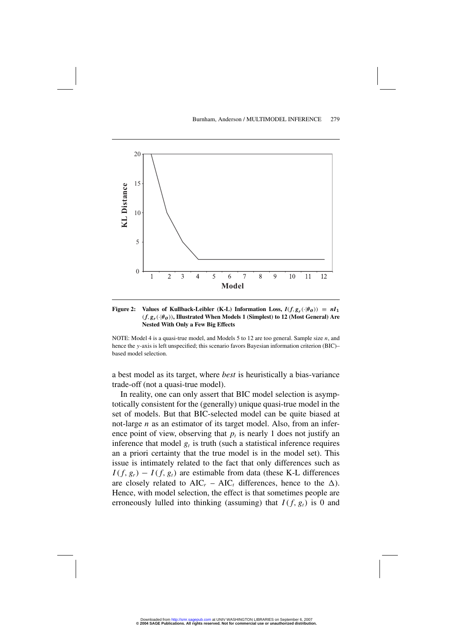### Burnham, Anderson / MULTIMODEL INFERENCE 279



**Figure 2:** Values of Kullback-Leibler (K-L) Information Loss,  $I(f, g_r(\cdot|\theta_0)) \equiv nI_1$ (*f*, *g<sup>r</sup>* (·|*θo*))**, Illustrated When Models 1 (Simplest) to 12 (Most General) Are Nested With Only a Few Big Effects**

NOTE: Model 4 is a quasi-true model, and Models 5 to 12 are too general. Sample size n, and hence the y-axis is left unspecified; this scenario favors Bayesian information criterion (BIC)– based model selection.

a best model as its target, where *best* is heuristically a bias-variance trade-off (not a quasi-true model).

In reality, one can only assert that BIC model selection is asymptotically consistent for the (generally) unique quasi-true model in the set of models. But that BIC-selected model can be quite biased at not-large  $n$  as an estimator of its target model. Also, from an inference point of view, observing that  $p_t$  is nearly 1 does not justify an inference that model  $g_t$  is truth (such a statistical inference requires an a priori certainty that the true model is in the model set). This issue is intimately related to the fact that only differences such as  $I(f, g_r) - I(f, g_t)$  are estimable from data (these K-L differences are closely related to AIC<sub>r</sub> – AIC<sub>t</sub> differences, hence to the  $\Delta$ ). Hence, with model selection, the effect is that sometimes people are erroneously lulled into thinking (assuming) that  $I(f, g_t)$  is 0 and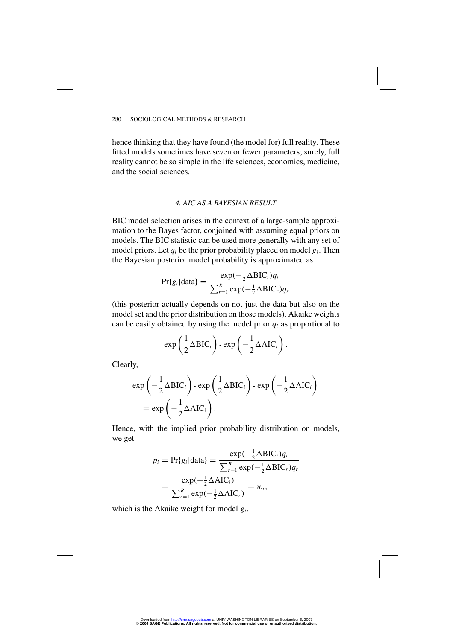hence thinking that they have found (the model for) full reality. These fitted models sometimes have seven or fewer parameters; surely, full reality cannot be so simple in the life sciences, economics, medicine, and the social sciences.

# *4. AIC AS A BAYESIAN RESULT*

BIC model selection arises in the context of a large-sample approximation to the Bayes factor, conjoined with assuming equal priors on models. The BIC statistic can be used more generally with any set of model priors. Let  $q_i$  be the prior probability placed on model  $g_i$ . Then the Bayesian posterior model probability is approximated as

$$
Pr{g_i|data} = \frac{\exp(-\frac{1}{2}\Delta BIC_i)q_i}{\sum_{r=1}^{R}\exp(-\frac{1}{2}\Delta BIC_r)q_r}
$$

(this posterior actually depends on not just the data but also on the model set and the prior distribution on those models). Akaike weights can be easily obtained by using the model prior  $q_i$  as proportional to

$$
\exp\left(\frac{1}{2}\Delta\text{BIC}_i\right)\cdot\exp\left(-\frac{1}{2}\Delta\text{AIC}_i\right).
$$

Clearly,

$$
\exp\left(-\frac{1}{2}\Delta\text{BIC}_i\right) \cdot \exp\left(\frac{1}{2}\Delta\text{BIC}_i\right) \cdot \exp\left(-\frac{1}{2}\Delta\text{AIC}_i\right)
$$

$$
= \exp\left(-\frac{1}{2}\Delta\text{AIC}_i\right).
$$

Hence, with the implied prior probability distribution on models, we get

$$
p_i = \Pr\{g_i | \text{data}\} = \frac{\exp(-\frac{1}{2}\Delta \text{BIC}_i)q_i}{\sum_{r=1}^R \exp(-\frac{1}{2}\Delta \text{BIC}_r)q_r}
$$

$$
= \frac{\exp(-\frac{1}{2}\Delta \text{AIC}_i)}{\sum_{r=1}^R \exp(-\frac{1}{2}\Delta \text{AIC}_r)} = w_i,
$$

which is the Akaike weight for model  $g_i$ .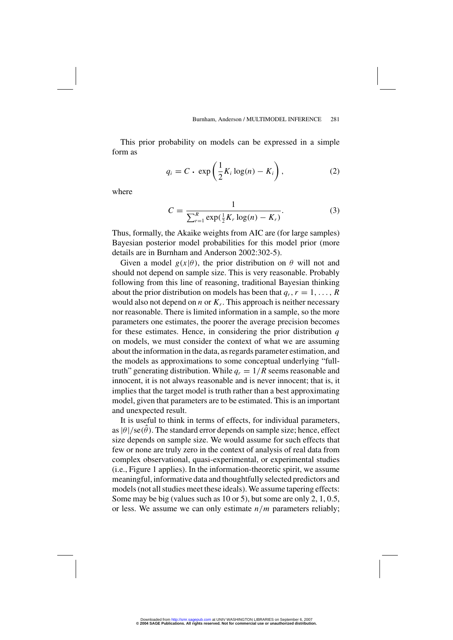This prior probability on models can be expressed in a simple form as

$$
q_i = C \cdot \exp\left(\frac{1}{2}K_i \log(n) - K_i\right),\tag{2}
$$

where

$$
C = \frac{1}{\sum_{r=1}^{R} \exp(\frac{1}{2}K_r \log(n) - K_r)}.
$$
 (3)

Thus, formally, the Akaike weights from AIC are (for large samples) Bayesian posterior model probabilities for this model prior (more details are in Burnham and Anderson 2002:302-5).

Given a model  $g(x|\theta)$ , the prior distribution on  $\theta$  will not and should not depend on sample size. This is very reasonable. Probably following from this line of reasoning, traditional Bayesian thinking about the prior distribution on models has been that  $q_r$ ,  $r = 1, \ldots, R$ would also not depend on n or  $K_r$ . This approach is neither necessary nor reasonable. There is limited information in a sample, so the more parameters one estimates, the poorer the average precision becomes for these estimates. Hence, in considering the prior distribution  $q$ on models, we must consider the context of what we are assuming about the information in the data, as regards parameter estimation, and the models as approximations to some conceptual underlying "fulltruth" generating distribution. While  $q_r = 1/R$  seems reasonable and innocent, it is not always reasonable and is never innocent; that is, it implies that the target model is truth rather than a best approximating model, given that parameters are to be estimated. This is an important and unexpected result.

It is useful to think in terms of effects, for individual parameters, as  $|\theta|/se(\theta)$ . The standard error depends on sample size; hence, effect size depends on sample size. We would assume for such effects that few or none are truly zero in the context of analysis of real data from complex observational, quasi-experimental, or experimental studies (i.e., Figure 1 applies). In the information-theoretic spirit, we assume meaningful, informative data and thoughtfully selected predictors and models (not all studies meet these ideals). We assume tapering effects: Some may be big (values such as 10 or 5), but some are only 2, 1, 0.5, or less. We assume we can only estimate  $n/m$  parameters reliably;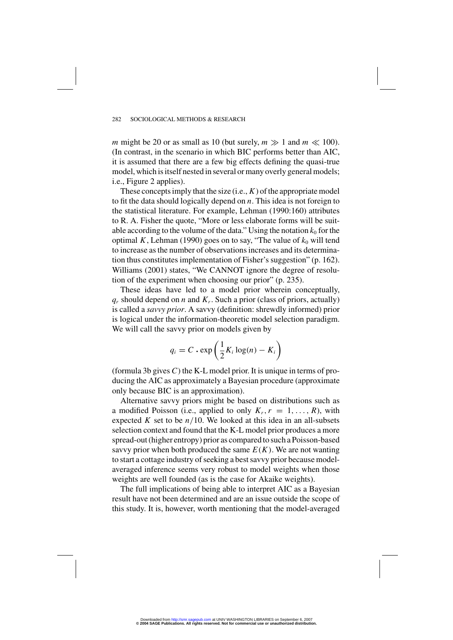m might be 20 or as small as 10 (but surely,  $m \gg 1$  and  $m \ll 100$ ). (In contrast, in the scenario in which BIC performs better than AIC, it is assumed that there are a few big effects defining the quasi-true model, which is itself nested in several or many overly general models; i.e., Figure 2 applies).

These concepts imply that the size  $(i.e., K)$  of the appropriate model to fit the data should logically depend on  $n$ . This idea is not foreign to the statistical literature. For example, Lehman (1990:160) attributes to R. A. Fisher the quote, "More or less elaborate forms will be suitable according to the volume of the data." Using the notation  $k_0$  for the optimal K, Lehman (1990) goes on to say, "The value of  $k_0$  will tend to increase as the number of observations increases and its determination thus constitutes implementation of Fisher's suggestion" (p. 162). Williams (2001) states, "We CANNOT ignore the degree of resolution of the experiment when choosing our prior" (p. 235).

These ideas have led to a model prior wherein conceptually,  $q_r$  should depend on n and  $K_r$ . Such a prior (class of priors, actually) is called a *savvy prior*. A savvy (definition: shrewdly informed) prior is logical under the information-theoretic model selection paradigm. We will call the savvy prior on models given by

$$
q_i = C \cdot \exp\left(\frac{1}{2}K_i \log(n) - K_i\right)
$$

(formula 3b gives C) the K-L model prior. It is unique in terms of producing the AIC as approximately a Bayesian procedure (approximate only because BIC is an approximation).

Alternative savvy priors might be based on distributions such as a modified Poisson (i.e., applied to only  $K_r$ ,  $r = 1, \ldots, R$ ), with expected K set to be  $n/10$ . We looked at this idea in an all-subsets selection context and found that the K-L model prior produces a more spread-out (higher entropy) prior as compared to such a Poisson-based savvy prior when both produced the same  $E(K)$ . We are not wanting to start a cottage industry of seeking a best savvy prior because modelaveraged inference seems very robust to model weights when those weights are well founded (as is the case for Akaike weights).

The full implications of being able to interpret AIC as a Bayesian result have not been determined and are an issue outside the scope of this study. It is, however, worth mentioning that the model-averaged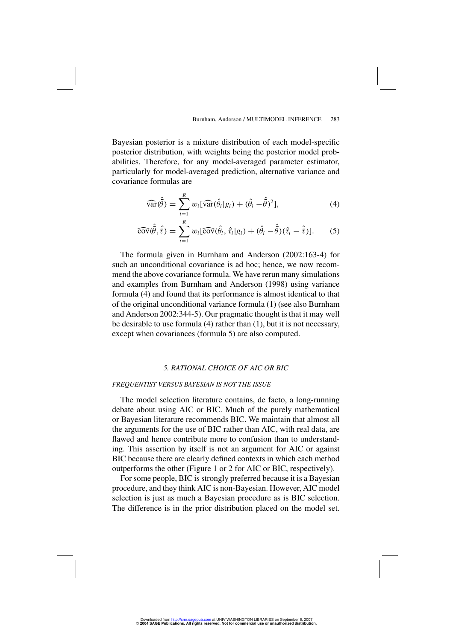Bayesian posterior is a mixture distribution of each model-specific posterior distribution, with weights being the posterior model probabilities. Therefore, for any model-averaged parameter estimator, particularly for model-averaged prediction, alternative variance and covariance formulas are

$$
\widehat{\text{var}}(\widehat{\widehat{\theta}}) = \sum_{i=1}^{R} w_i [\widehat{\text{var}}(\widehat{\theta}_i | g_i) + (\widehat{\theta}_i - \widehat{\widehat{\theta}})^2], \tag{4}
$$

$$
\widehat{\text{cov}}(\hat{\vec{\theta}}, \hat{\vec{\tau}}) = \sum_{i=1}^{R} w_i [\widehat{\text{cov}}(\hat{\theta}_i, \hat{\tau}_i | g_i) + (\hat{\theta}_i - \hat{\vec{\theta}})(\hat{\tau}_i - \hat{\vec{\tau}})]. \tag{5}
$$

The formula given in Burnham and Anderson (2002:163-4) for such an unconditional covariance is ad hoc; hence, we now recommend the above covariance formula. We have rerun many simulations and examples from Burnham and Anderson (1998) using variance formula (4) and found that its performance is almost identical to that of the original unconditional variance formula (1) (see also Burnham and Anderson 2002:344-5). Our pragmatic thought is that it may well be desirable to use formula (4) rather than (1), but it is not necessary, except when covariances (formula 5) are also computed.

# *5. RATIONAL CHOICE OF AIC OR BIC*

### *FREQUENTIST VERSUS BAYESIAN IS NOT THE ISSUE*

The model selection literature contains, de facto, a long-running debate about using AIC or BIC. Much of the purely mathematical or Bayesian literature recommends BIC. We maintain that almost all the arguments for the use of BIC rather than AIC, with real data, are flawed and hence contribute more to confusion than to understanding. This assertion by itself is not an argument for AIC or against BIC because there are clearly defined contexts in which each method outperforms the other (Figure 1 or 2 for AIC or BIC, respectively).

For some people, BIC is strongly preferred because it is a Bayesian procedure, and they think AIC is non-Bayesian. However, AIC model selection is just as much a Bayesian procedure as is BIC selection. The difference is in the prior distribution placed on the model set.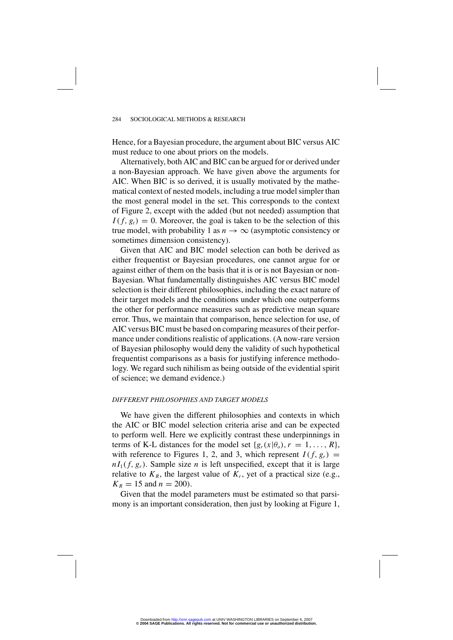Hence, for a Bayesian procedure, the argument about BIC versus AIC must reduce to one about priors on the models.

Alternatively, both AIC and BIC can be argued for or derived under a non-Bayesian approach. We have given above the arguments for AIC. When BIC is so derived, it is usually motivated by the mathematical context of nested models, including a true model simpler than the most general model in the set. This corresponds to the context of Figure 2, except with the added (but not needed) assumption that  $I(f, g_t) = 0$ . Moreover, the goal is taken to be the selection of this true model, with probability 1 as  $n \to \infty$  (asymptotic consistency or sometimes dimension consistency).

Given that AIC and BIC model selection can both be derived as either frequentist or Bayesian procedures, one cannot argue for or against either of them on the basis that it is or is not Bayesian or non-Bayesian. What fundamentally distinguishes AIC versus BIC model selection is their different philosophies, including the exact nature of their target models and the conditions under which one outperforms the other for performance measures such as predictive mean square error. Thus, we maintain that comparison, hence selection for use, of AIC versus BIC must be based on comparing measures of their performance under conditions realistic of applications. (A now-rare version of Bayesian philosophy would deny the validity of such hypothetical frequentist comparisons as a basis for justifying inference methodology. We regard such nihilism as being outside of the evidential spirit of science; we demand evidence.)

# *DIFFERENT PHILOSOPHIES AND TARGET MODELS*

We have given the different philosophies and contexts in which the AIC or BIC model selection criteria arise and can be expected to perform well. Here we explicitly contrast these underpinnings in terms of K-L distances for the model set  $\{g_r(x|\theta_o), r = 1, \ldots, R\}$ , with reference to Figures 1, 2, and 3, which represent  $I(f, g_r)$  =  $nI_1(f, g_r)$ . Sample size *n* is left unspecified, except that it is large relative to  $K_R$ , the largest value of  $K_r$ , yet of a practical size (e.g.,  $K_R = 15$  and  $n = 200$ ).

Given that the model parameters must be estimated so that parsimony is an important consideration, then just by looking at Figure 1,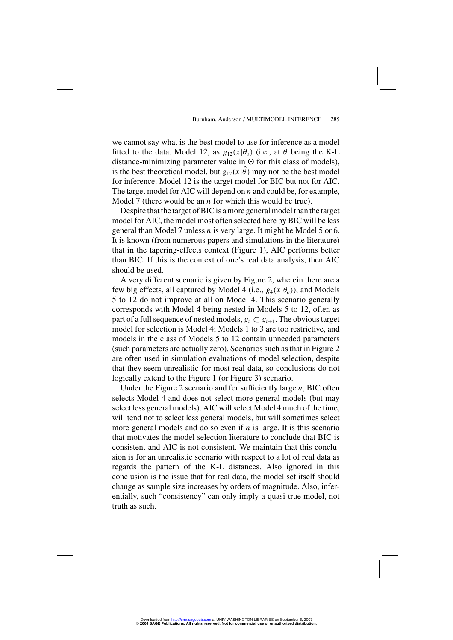we cannot say what is the best model to use for inference as a model fitted to the data. Model 12, as  $g_{12}(x|\theta_o)$  (i.e., at  $\theta$  being the K-L distance-minimizing parameter value in  $\Theta$  for this class of models), is the best theoretical model, but  $g_{12}(x|\hat{\theta})$  may not be the best model for inference. Model 12 is the target model for BIC but not for AIC. The target model for AIC will depend on  $n$  and could be, for example, Model 7 (there would be an  $n$  for which this would be true).

Despite that the target of BIC is a more general model than the target model for AIC, the model most often selected here by BIC will be less general than Model 7 unless  $n$  is very large. It might be Model 5 or 6. It is known (from numerous papers and simulations in the literature) that in the tapering-effects context (Figure 1), AIC performs better than BIC. If this is the context of one's real data analysis, then AIC should be used.

A very different scenario is given by Figure 2, wherein there are a few big effects, all captured by Model 4 (i.e.,  $g_4(x|\theta_0)$ ), and Models 5 to 12 do not improve at all on Model 4. This scenario generally corresponds with Model 4 being nested in Models 5 to 12, often as part of a full sequence of nested models,  $g_i \subset g_{i+1}$ . The obvious target model for selection is Model 4; Models 1 to 3 are too restrictive, and models in the class of Models 5 to 12 contain unneeded parameters (such parameters are actually zero). Scenarios such as that in Figure 2 are often used in simulation evaluations of model selection, despite that they seem unrealistic for most real data, so conclusions do not logically extend to the Figure 1 (or Figure 3) scenario.

Under the Figure 2 scenario and for sufficiently large  $n$ , BIC often selects Model 4 and does not select more general models (but may select less general models). AIC will select Model 4 much of the time, will tend not to select less general models, but will sometimes select more general models and do so even if  $n$  is large. It is this scenario that motivates the model selection literature to conclude that BIC is consistent and AIC is not consistent. We maintain that this conclusion is for an unrealistic scenario with respect to a lot of real data as regards the pattern of the K-L distances. Also ignored in this conclusion is the issue that for real data, the model set itself should change as sample size increases by orders of magnitude. Also, inferentially, such "consistency" can only imply a quasi-true model, not truth as such.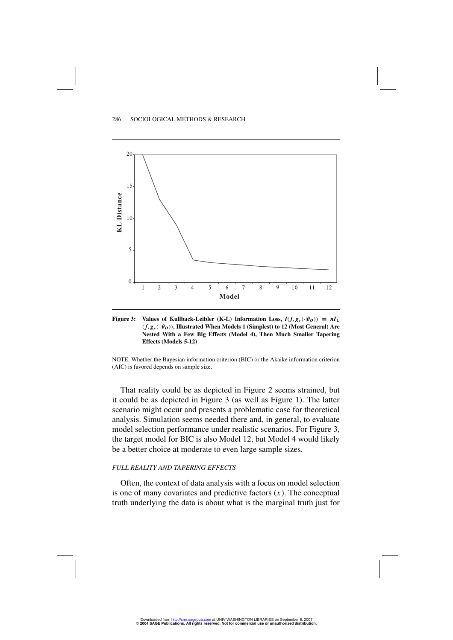

**Figure 3: Values of Kullback-Leibler (K-L) Information Loss,**  $I(f, g_r(\cdot|\theta_0)) \equiv nI_1$  $(f, g_r(\cdot|\theta_0))$ , Illustrated When Models 1 (Simplest) to 12 (Most General) Are **Nested With a Few Big Effects (Model 4), Then Much Smaller Tapering Effects (Models 5-12)**

NOTE: Whether the Bayesian information criterion (BIC) or the Akaike information criterion (AIC) is favored depends on sample size.

That reality could be as depicted in Figure 2 seems strained, but it could be as depicted in Figure 3 (as well as Figure 1). The latter scenario might occur and presents a problematic case for theoretical analysis. Simulation seems needed there and, in general, to evaluate model selection performance under realistic scenarios. For Figure 3, the target model for BIC is also Model 12, but Model 4 would likely be a better choice at moderate to even large sample sizes.

# *FULL REALITY AND TAPERING EFFECTS*

Often, the context of data analysis with a focus on model selection is one of many covariates and predictive factors  $(x)$ . The conceptual truth underlying the data is about what is the marginal truth just for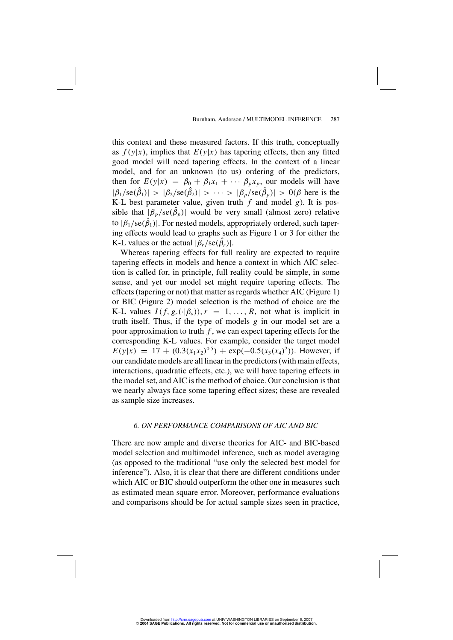this context and these measured factors. If this truth, conceptually as  $f(y|x)$ , implies that  $E(y|x)$  has tapering effects, then any fitted good model will need tapering effects. In the context of a linear model, and for an unknown (to us) ordering of the predictors, then for  $E(y|x) = \beta_0 + \beta_1 x_1 + \cdots + \beta_p x_p$ , our models will have  $|\beta_1/\text{se}(\hat{\beta}_1)| > |\beta_2/\text{se}(\hat{\beta}_2)| > \cdots > |\beta_p/\text{se}(\hat{\beta}_p)| > 0$  ( $\beta$  here is the K-L best parameter value, given truth  $f$  and model g). It is possible that  $|\beta_p/\text{se}(\hat{\beta}_p)|$  would be very small (almost zero) relative to  $|\beta_1/\text{se}(\hat{\beta}_1)|$ . For nested models, appropriately ordered, such tapering effects would lead to graphs such as Figure 1 or 3 for either the K-L values or the actual  $|\hat{\beta}_r/\text{se}(\hat{\beta}_r)|$ .

Whereas tapering effects for full reality are expected to require tapering effects in models and hence a context in which AIC selection is called for, in principle, full reality could be simple, in some sense, and yet our model set might require tapering effects. The effects (tapering or not) that matter as regards whether AIC (Figure 1) or BIC (Figure 2) model selection is the method of choice are the K-L values  $I(f, g_r(\cdot|\beta_o))$ ,  $r = 1, \ldots, R$ , not what is implicit in truth itself. Thus, if the type of models g in our model set are a poor approximation to truth  $f$ , we can expect tapering effects for the corresponding K-L values. For example, consider the target model  $E(y|x) = 17 + (0.3(x_1x_2)^{0.5}) + \exp(-0.5(x_3(x_4)^2))$ . However, if our candidate models are all linear in the predictors (with main effects, interactions, quadratic effects, etc.), we will have tapering effects in the model set, and AIC is the method of choice. Our conclusion is that we nearly always face some tapering effect sizes; these are revealed as sample size increases.

# *6. ON PERFORMANCE COMPARISONS OF AIC AND BIC*

There are now ample and diverse theories for AIC- and BIC-based model selection and multimodel inference, such as model averaging (as opposed to the traditional "use only the selected best model for inference"). Also, it is clear that there are different conditions under which AIC or BIC should outperform the other one in measures such as estimated mean square error. Moreover, performance evaluations and comparisons should be for actual sample sizes seen in practice,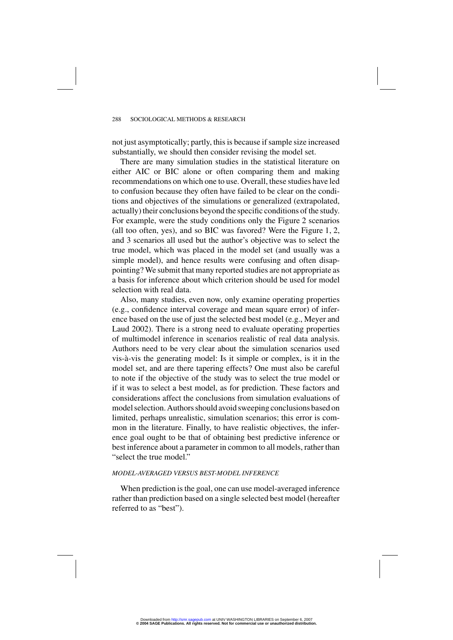not just asymptotically; partly, this is because if sample size increased substantially, we should then consider revising the model set.

There are many simulation studies in the statistical literature on either AIC or BIC alone or often comparing them and making recommendations on which one to use. Overall, these studies have led to confusion because they often have failed to be clear on the conditions and objectives of the simulations or generalized (extrapolated, actually) their conclusions beyond the specific conditions of the study. For example, were the study conditions only the Figure 2 scenarios (all too often, yes), and so BIC was favored? Were the Figure 1, 2, and 3 scenarios all used but the author's objective was to select the true model, which was placed in the model set (and usually was a simple model), and hence results were confusing and often disappointing? We submit that many reported studies are not appropriate as a basis for inference about which criterion should be used for model selection with real data.

Also, many studies, even now, only examine operating properties (e.g., confidence interval coverage and mean square error) of inference based on the use of just the selected best model (e.g., Meyer and Laud 2002). There is a strong need to evaluate operating properties of multimodel inference in scenarios realistic of real data analysis. Authors need to be very clear about the simulation scenarios used vis-a-vis the generating model: Is it simple or complex, is it in the ` model set, and are there tapering effects? One must also be careful to note if the objective of the study was to select the true model or if it was to select a best model, as for prediction. These factors and considerations affect the conclusions from simulation evaluations of model selection. Authors should avoid sweeping conclusions based on limited, perhaps unrealistic, simulation scenarios; this error is common in the literature. Finally, to have realistic objectives, the inference goal ought to be that of obtaining best predictive inference or best inference about a parameter in common to all models, rather than "select the true model."

# *MODEL-AVERAGED VERSUS BEST-MODEL INFERENCE*

When prediction is the goal, one can use model-averaged inference rather than prediction based on a single selected best model (hereafter referred to as "best").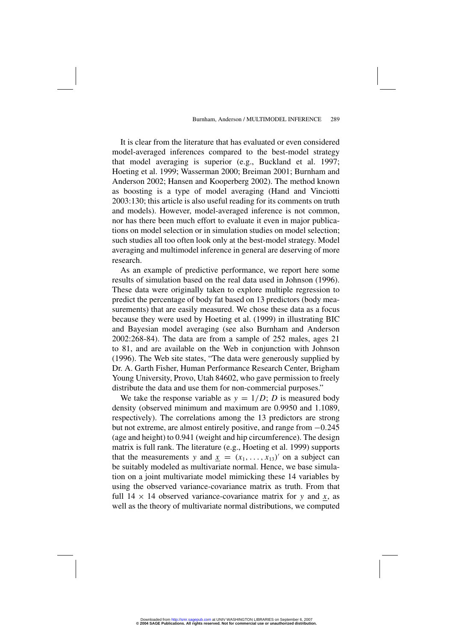#### Burnham, Anderson / MULTIMODEL INFERENCE 289

It is clear from the literature that has evaluated or even considered model-averaged inferences compared to the best-model strategy that model averaging is superior (e.g., Buckland et al. 1997; Hoeting et al. 1999; Wasserman 2000; Breiman 2001; Burnham and Anderson 2002; Hansen and Kooperberg 2002). The method known as boosting is a type of model averaging (Hand and Vinciotti 2003:130; this article is also useful reading for its comments on truth and models). However, model-averaged inference is not common, nor has there been much effort to evaluate it even in major publications on model selection or in simulation studies on model selection; such studies all too often look only at the best-model strategy. Model averaging and multimodel inference in general are deserving of more research.

As an example of predictive performance, we report here some results of simulation based on the real data used in Johnson (1996). These data were originally taken to explore multiple regression to predict the percentage of body fat based on 13 predictors (body measurements) that are easily measured. We chose these data as a focus because they were used by Hoeting et al. (1999) in illustrating BIC and Bayesian model averaging (see also Burnham and Anderson 2002:268-84). The data are from a sample of 252 males, ages 21 to 81, and are available on the Web in conjunction with Johnson (1996). The Web site states, "The data were generously supplied by Dr. A. Garth Fisher, Human Performance Research Center, Brigham Young University, Provo, Utah 84602, who gave permission to freely distribute the data and use them for non-commercial purposes."

We take the response variable as  $y = 1/D$ ; D is measured body density (observed minimum and maximum are 0.9950 and 1.1089, respectively). The correlations among the 13 predictors are strong but not extreme, are almost entirely positive, and range from −0.245 (age and height) to 0.941 (weight and hip circumference). The design matrix is full rank. The literature (e.g., Hoeting et al. 1999) supports that the measurements y and  $\underline{x} = (x_1, \dots, x_{13})'$  on a subject can be suitably modeled as multivariate normal. Hence, we base simulation on a joint multivariate model mimicking these 14 variables by using the observed variance-covariance matrix as truth. From that full  $14 \times 14$  observed variance-covariance matrix for y and x, as well as the theory of multivariate normal distributions, we computed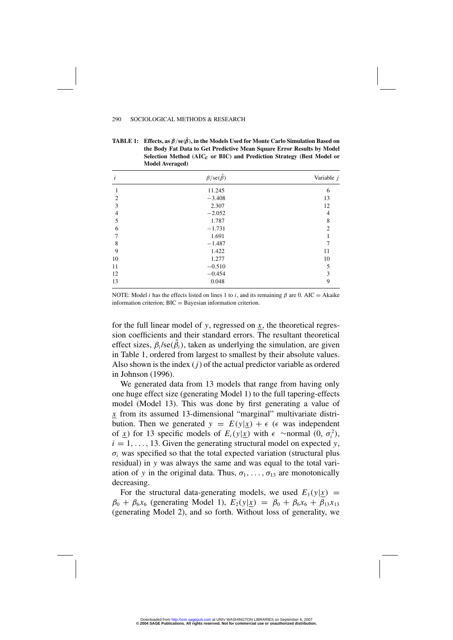| Î              | $\beta$ /se $(\hat{\beta})$ | Variable $j$   |
|----------------|-----------------------------|----------------|
|                | 11.245                      | 6              |
| $\overline{c}$ | $-3.408$                    | 13             |
| 3              | 2.307                       | 12             |
| 4              | $-2.052$                    | 4              |
| 5              | 1.787                       | 8              |
| 6              | $-1.731$                    | $\mathfrak{D}$ |
| 7              | 1.691                       |                |
| 8              | $-1.487$                    |                |
| 9              | 1.422                       | 11             |
| 10             | 1.277                       | 10             |
| 11             | $-0.510$                    | 5              |
| 12             | $-0.454$                    | 3              |
| 13             | 0.048                       | 9              |

**TABLE 1: Effects, as** *β*/**se**(*β*ˆ)**, in the Models Used for Monte Carlo Simulation Based on the Body Fat Data to Get Predictive Mean Square Error Results by Model Selection Method (AIC***c* **or BIC) and Prediction Strategy (Best Model or Model Averaged)**

NOTE: Model *i* has the effects listed on lines 1 to *i*, and its remaining  $\beta$  are 0. AIC = Akaike information criterion; BIC = Bayesian information criterion.

for the full linear model of y, regressed on  $x$ , the theoretical regression coefficients and their standard errors. The resultant theoretical effect sizes,  $\beta_i$ /se $(\hat{\beta}_i)$ , taken as underlying the simulation, are given in Table 1, ordered from largest to smallest by their absolute values. Also shown is the index  $(j)$  of the actual predictor variable as ordered in Johnson (1996).

We generated data from 13 models that range from having only one huge effect size (generating Model 1) to the full tapering-effects model (Model 13). This was done by first generating a value of  $x$  from its assumed 13-dimensional "marginal" multivariate distribution. Then we generated  $y = E(y|x) + \epsilon$  ( $\epsilon$  was independent of <u>x</u>) for 13 specific models of  $E_i(y|\underline{x})$  with  $\epsilon$  ~normal (0,  $\sigma_i^2$ ),  $i = 1, \ldots, 13$ . Given the generating structural model on expected y,  $\sigma_i$  was specified so that the total expected variation (structural plus residual) in y was always the same and was equal to the total variation of y in the original data. Thus,  $\sigma_1, \ldots, \sigma_{13}$  are monotonically decreasing.

For the structural data-generating models, we used  $E_1(y|x)$  =  $\beta_0 + \beta_6 x_6$  (generating Model 1),  $E_2(y|x) = \beta_0 + \beta_6 x_6 + \beta_{13} x_{13}$ (generating Model 2), and so forth. Without loss of generality, we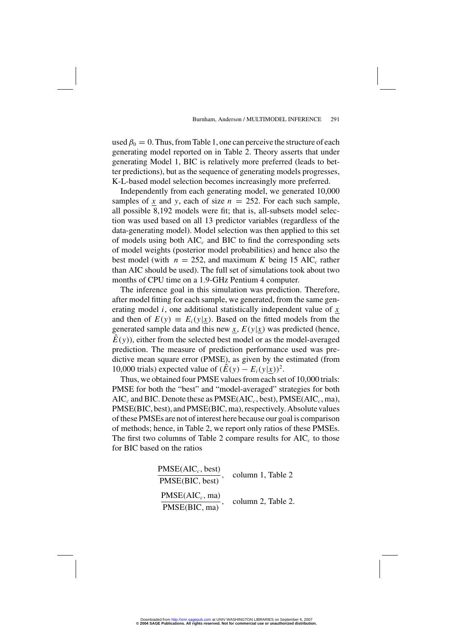used  $\beta_0 = 0$ . Thus, from Table 1, one can perceive the structure of each generating model reported on in Table 2. Theory asserts that under generating Model 1, BIC is relatively more preferred (leads to better predictions), but as the sequence of generating models progresses, K-L-based model selection becomes increasingly more preferred.

Independently from each generating model, we generated 10,000 samples of x and y, each of size  $n = 252$ . For each such sample, all possible 8,192 models were fit; that is, all-subsets model selection was used based on all 13 predictor variables (regardless of the data-generating model). Model selection was then applied to this set of models using both  $AIC_c$  and BIC to find the corresponding sets of model weights (posterior model probabilities) and hence also the best model (with  $n = 252$ , and maximum K being 15 AIC<sub>c</sub> rather than AIC should be used). The full set of simulations took about two months of CPU time on a 1.9-GHz Pentium 4 computer.

The inference goal in this simulation was prediction. Therefore, after model fitting for each sample, we generated, from the same generating model  $i$ , one additional statistically independent value of  $x$ and then of  $E(y) \equiv E_i(y|x)$ . Based on the fitted models from the generated sample data and this new  $\underline{x}$ ,  $E(y|\underline{x})$  was predicted (hence,  $\hat{E}(y)$ , either from the selected best model or as the model-averaged prediction. The measure of prediction performance used was predictive mean square error (PMSE), as given by the estimated (from 10,000 trials) expected value of  $(E(y) - E_i(y|x))^2$ .

Thus, we obtained four PMSE values from each set of 10,000 trials: PMSE for both the "best" and "model-averaged" strategies for both  $AIC_c$  and BIC. Denote these as PMSE( $AIC_c$ , best), PMSE( $AIC_c$ , ma), PMSE(BIC, best), and PMSE(BIC, ma), respectively. Absolute values of these PMSEs are not of interest here because our goal is comparison of methods; hence, in Table 2, we report only ratios of these PMSEs. The first two columns of Table 2 compare results for  $AIC_c$  to those for BIC based on the ratios

| PMSE(AIC <sub>c</sub> , best)<br>$\overline{\text{PMSE}(\text{BIC}, \text{best})}$ | column 1, Table 2  |  |  |
|------------------------------------------------------------------------------------|--------------------|--|--|
| $PMSE(AIC_c, ma)$                                                                  | column 2, Table 2. |  |  |
| $\overline{\text{PMSE}}(\text{BIC}, \text{ma})$                                    |                    |  |  |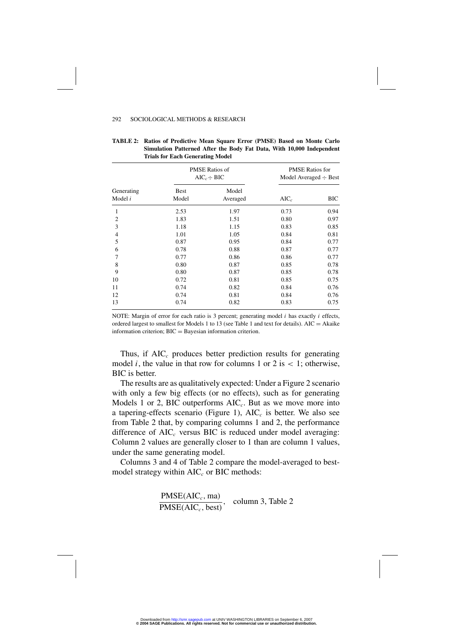| Generating<br>Model $i$ |                      | <b>PMSE Ratios of</b><br>$AIC_c \div BIC$ | <b>PMSE Ratios for</b><br>Model Averaged $\div$ Best |      |  |
|-------------------------|----------------------|-------------------------------------------|------------------------------------------------------|------|--|
|                         | <b>Best</b><br>Model | Model<br>Averaged                         | $AIC_c$                                              | BIC  |  |
| 1                       | 2.53                 | 1.97                                      | 0.73                                                 | 0.94 |  |
| $\overline{c}$          | 1.83                 | 1.51                                      | 0.80                                                 | 0.97 |  |
| 3                       | 1.18                 | 1.15                                      | 0.83                                                 | 0.85 |  |
| $\overline{4}$          | 1.01                 | 1.05                                      | 0.84                                                 | 0.81 |  |
| 5                       | 0.87                 | 0.95                                      | 0.84                                                 | 0.77 |  |
| 6                       | 0.78                 | 0.88                                      | 0.87                                                 | 0.77 |  |
| 7                       | 0.77                 | 0.86                                      | 0.86                                                 | 0.77 |  |
| 8                       | 0.80                 | 0.87                                      | 0.85                                                 | 0.78 |  |
| 9                       | 0.80                 | 0.87                                      | 0.85                                                 | 0.78 |  |
| 10                      | 0.72                 | 0.81                                      | 0.85                                                 | 0.75 |  |
| 11                      | 0.74                 | 0.82                                      | 0.84                                                 | 0.76 |  |
| 12                      | 0.74                 | 0.81                                      | 0.84                                                 | 0.76 |  |
| 13                      | 0.74                 | 0.82                                      | 0.83                                                 | 0.75 |  |

**TABLE 2: Ratios of Predictive Mean Square Error (PMSE) Based on Monte Carlo Simulation Patterned After the Body Fat Data, With 10,000 Independent Trials for Each Generating Model**

NOTE: Margin of error for each ratio is 3 percent; generating model  $i$  has exactly  $i$  effects, ordered largest to smallest for Models 1 to 13 (see Table 1 and text for details). AIC = Akaike information criterion; BIC = Bayesian information criterion.

Thus, if  $AIC<sub>c</sub>$  produces better prediction results for generating model *i*, the value in that row for columns 1 or 2 is  $\lt$  1; otherwise, BIC is better.

The results are as qualitatively expected: Under a Figure 2 scenario with only a few big effects (or no effects), such as for generating Models 1 or 2, BIC outperforms  $AIC<sub>c</sub>$ . But as we move more into a tapering-effects scenario (Figure 1),  $AIC<sub>c</sub>$  is better. We also see from Table 2 that, by comparing columns 1 and 2, the performance difference of  $AIC<sub>c</sub>$  versus BIC is reduced under model averaging: Column 2 values are generally closer to 1 than are column 1 values, under the same generating model.

Columns 3 and 4 of Table 2 compare the model-averaged to bestmodel strategy within  $AIC<sub>c</sub>$  or BIC methods:

> $PMSE(AIC<sub>c</sub>, ma)$  $\overline{\text{PMSE}(AIC_c, best)}$ , , column 3, Table 2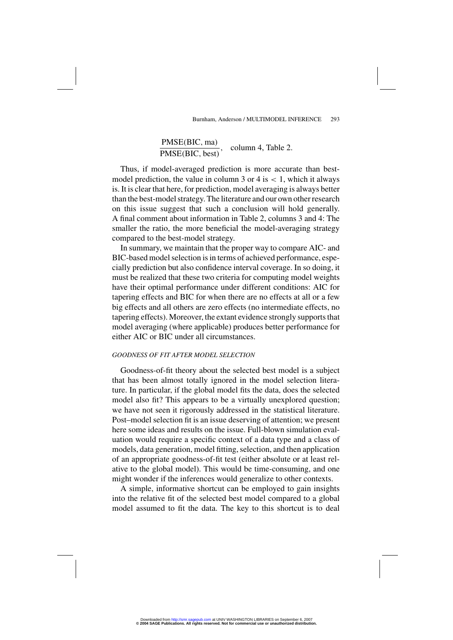#### PMSE(BIC, ma) PMSE(BIC, best)<sup>,</sup> , column 4, Table 2.

Thus, if model-averaged prediction is more accurate than bestmodel prediction, the value in column 3 or 4 is  $< 1$ , which it always is. It is clear that here, for prediction, model averaging is always better than the best-model strategy. The literature and our own other research on this issue suggest that such a conclusion will hold generally. A final comment about information in Table 2, columns 3 and 4: The smaller the ratio, the more beneficial the model-averaging strategy compared to the best-model strategy.

In summary, we maintain that the proper way to compare AIC- and BIC-based model selection is in terms of achieved performance, especially prediction but also confidence interval coverage. In so doing, it must be realized that these two criteria for computing model weights have their optimal performance under different conditions: AIC for tapering effects and BIC for when there are no effects at all or a few big effects and all others are zero effects (no intermediate effects, no tapering effects). Moreover, the extant evidence strongly supports that model averaging (where applicable) produces better performance for either AIC or BIC under all circumstances.

### *GOODNESS OF FIT AFTER MODEL SELECTION*

Goodness-of-fit theory about the selected best model is a subject that has been almost totally ignored in the model selection literature. In particular, if the global model fits the data, does the selected model also fit? This appears to be a virtually unexplored question; we have not seen it rigorously addressed in the statistical literature. Post–model selection fit is an issue deserving of attention; we present here some ideas and results on the issue. Full-blown simulation evaluation would require a specific context of a data type and a class of models, data generation, model fitting, selection, and then application of an appropriate goodness-of-fit test (either absolute or at least relative to the global model). This would be time-consuming, and one might wonder if the inferences would generalize to other contexts.

A simple, informative shortcut can be employed to gain insights into the relative fit of the selected best model compared to a global model assumed to fit the data. The key to this shortcut is to deal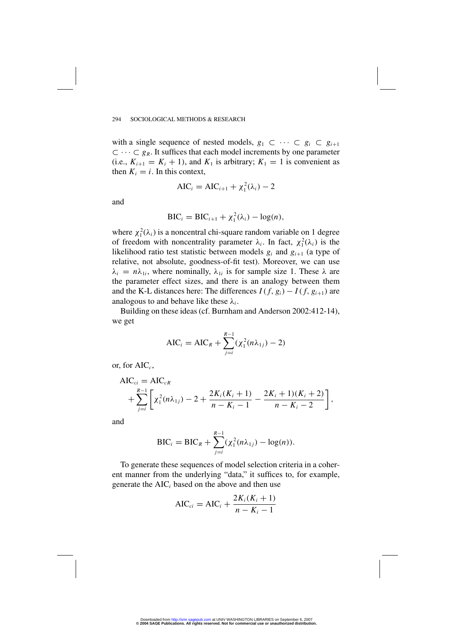with a single sequence of nested models,  $g_1 \subset \cdots \subset g_i \subset g_{i+1}$  $\subset \cdots \subset g_R$ . It suffices that each model increments by one parameter (i.e.,  $K_{i+1} = K_i + 1$ ), and  $K_1$  is arbitrary;  $K_1 = 1$  is convenient as then  $K_i = i$ . In this context,

$$
AIC_i = AIC_{i+1} + \chi_1^2(\lambda_i) - 2
$$

and

$$
\text{BIC}_i = \text{BIC}_{i+1} + \chi_1^2(\lambda_i) - \log(n),
$$

where  $\chi_1^2(\lambda_i)$  is a noncentral chi-square random variable on 1 degree of freedom with noncentrality parameter  $\lambda_i$ . In fact,  $\chi_1^2(\lambda_i)$  is the likelihood ratio test statistic between models  $g_i$  and  $g_{i+1}$  (a type of relative, not absolute, goodness-of-fit test). Moreover, we can use  $\lambda_i = n\lambda_{1i}$ , where nominally,  $\lambda_{1i}$  is for sample size 1. These  $\lambda$  are the parameter effect sizes, and there is an analogy between them and the K-L distances here: The differences  $I(f, g_i) - I(f, g_{i+1})$  are analogous to and behave like these  $\lambda_i$ .

Building on these ideas (cf. Burnham and Anderson 2002:412-14), we get

$$
AIC_i = AIC_R + \sum_{j=i}^{R-1} (\chi_1^2(n\lambda_{1j}) - 2)
$$

or, for  $AIC_c$ ,

$$
AIC_{ci} = AIC_{cR}
$$
  
+  $\sum_{j=i}^{R-1} \left[ \chi_1^2(n\lambda_{1j}) - 2 + \frac{2K_i(K_i+1)}{n-K_i-1} - \frac{2K_i+1(K_i+2)}{n-K_i-2} \right],$ 

and

$$
BIC_i = BIC_R + \sum_{j=i}^{R-1} (\chi_1^2(n\lambda_{1j}) - \log(n)).
$$

To generate these sequences of model selection criteria in a coherent manner from the underlying "data," it suffices to, for example, generate the  $AIC<sub>i</sub>$  based on the above and then use

$$
AIC_{ci} = AIC_i + \frac{2K_i(K_i+1)}{n-K_i-1}
$$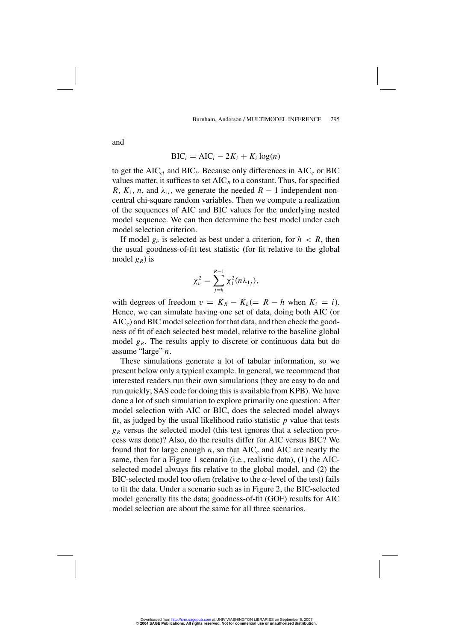Burnham, Anderson / MULTIMODEL INFERENCE 295

$$
BIC_i = AIC_i - 2K_i + K_i \log(n)
$$

to get the  $AIC_{ci}$  and  $BIC_i$ . Because only differences in  $AIC_{c}$  or BIC values matter, it suffices to set  $AIC_R$  to a constant. Thus, for specified R,  $K_1$ , n, and  $\lambda_{1i}$ , we generate the needed  $R-1$  independent noncentral chi-square random variables. Then we compute a realization of the sequences of AIC and BIC values for the underlying nested model sequence. We can then determine the best model under each model selection criterion.

If model  $g_h$  is selected as best under a criterion, for  $h < R$ , then the usual goodness-of-fit test statistic (for fit relative to the global model  $g_R$ ) is

$$
\chi_v^2 = \sum_{j=h}^{R-1} \chi_1^2(n\lambda_{1j}),
$$

with degrees of freedom  $v = K_R - K_h (= R - h$  when  $K_i = i$ ). Hence, we can simulate having one set of data, doing both AIC (or  $AIC<sub>c</sub>$ ) and BIC model selection for that data, and then check the goodness of fit of each selected best model, relative to the baseline global model  $g_R$ . The results apply to discrete or continuous data but do assume "large" n.

These simulations generate a lot of tabular information, so we present below only a typical example. In general, we recommend that interested readers run their own simulations (they are easy to do and run quickly; SAS code for doing this is available from KPB). We have done a lot of such simulation to explore primarily one question: After model selection with AIC or BIC, does the selected model always fit, as judged by the usual likelihood ratio statistic  $p$  value that tests  $g_R$  versus the selected model (this test ignores that a selection process was done)? Also, do the results differ for AIC versus BIC? We found that for large enough n, so that  $AIC<sub>c</sub>$  and  $AIC$  are nearly the same, then for a Figure 1 scenario (i.e., realistic data), (1) the AICselected model always fits relative to the global model, and (2) the BIC-selected model too often (relative to the  $\alpha$ -level of the test) fails to fit the data. Under a scenario such as in Figure 2, the BIC-selected model generally fits the data; goodness-of-fit (GOF) results for AIC model selection are about the same for all three scenarios.

and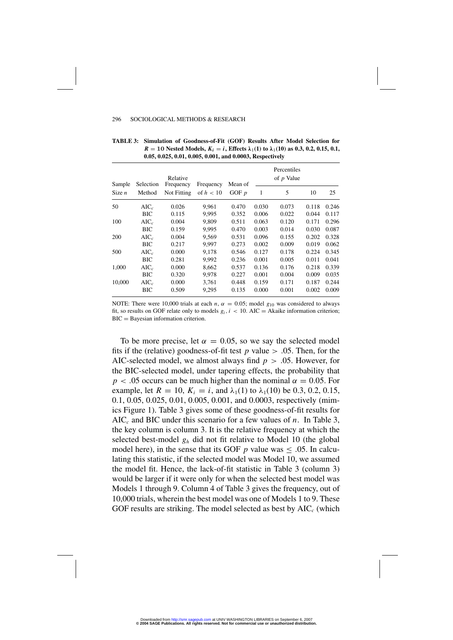| Sample     | Selection | Relative<br>Frequency | Frequency   | Mean of |       | Percentiles<br>of p Value |       |       |
|------------|-----------|-----------------------|-------------|---------|-------|---------------------------|-------|-------|
| Size $n$   | Method    | Not Fitting           | of $h < 10$ | GOF $p$ | 1     | 5                         | 10    | 25    |
| 50         | $AIC_c$   | 0.026                 | 9.961       | 0.470   | 0.030 | 0.073                     | 0.118 | 0.246 |
|            | BIC       | 0.115                 | 9,995       | 0.352   | 0.006 | 0.022                     | 0.044 | 0.117 |
| 100<br>BIC | $AIC_c$   | 0.004                 | 9.809       | 0.511   | 0.063 | 0.120                     | 0.171 | 0.296 |
|            |           | 0.159                 | 9.995       | 0.470   | 0.003 | 0.014                     | 0.030 | 0.087 |
| 200        | $AIC_c$   | 0.004                 | 9.569       | 0.531   | 0.096 | 0.155                     | 0.202 | 0.328 |
|            | ВIС       | 0.217                 | 9.997       | 0.273   | 0.002 | 0.009                     | 0.019 | 0.062 |
| 500        | $AIC_c$   | 0.000                 | 9.178       | 0.546   | 0.127 | 0.178                     | 0.224 | 0.345 |
|            | BІC       | 0.281                 | 9.992       | 0.236   | 0.001 | 0.005                     | 0.011 | 0.041 |
| 1,000      | $AIC_c$   | 0.000                 | 8,662       | 0.537   | 0.136 | 0.176                     | 0.218 | 0.339 |
|            | ВIС       | 0.320                 | 9.978       | 0.227   | 0.001 | 0.004                     | 0.009 | 0.035 |
| 10,000     | $AIC_c$   | 0.000                 | 3.761       | 0.448   | 0.159 | 0.171                     | 0.187 | 0.244 |
|            | BІC       | 0.509                 | 9.295       | 0.135   | 0.000 | 0.001                     | 0.002 | 0.009 |

**TABLE 3: Simulation of Goodness-of-Fit (GOF) Results After Model Selection for**  $R = 10$  Nested Models,  $K_i = i$ , Effects  $\lambda_1(1)$  to  $\lambda_1(10)$  as 0.3, 0.2, 0.15, 0.1, **0.05, 0.025, 0.01, 0.005, 0.001, and 0.0003, Respectively**

NOTE: There were 10,000 trials at each n,  $\alpha = 0.05$ ; model  $g_{10}$  was considered to always fit, so results on GOF relate only to models  $g_i$ ,  $i < 10$ . AIC = Akaike information criterion; BIC = Bayesian information criterion.

To be more precise, let  $\alpha = 0.05$ , so we say the selected model fits if the (relative) goodness-of-fit test  $p$  value  $> .05$ . Then, for the AIC-selected model, we almost always find  $p > .05$ . However, for the BIC-selected model, under tapering effects, the probability that  $p < .05$  occurs can be much higher than the nominal  $\alpha = 0.05$ . For example, let  $R = 10$ ,  $K_i = i$ , and  $\lambda_1(1)$  to  $\lambda_1(10)$  be 0.3, 0.2, 0.15, 0.1, 0.05, 0.025, 0.01, 0.005, 0.001, and 0.0003, respectively (mimics Figure 1). Table 3 gives some of these goodness-of-fit results for  $AIC<sub>c</sub>$  and BIC under this scenario for a few values of *n*. In Table 3, the key column is column 3. It is the relative frequency at which the selected best-model  $g_h$  did not fit relative to Model 10 (the global model here), in the sense that its GOF p value was  $\leq .05$ . In calculating this statistic, if the selected model was Model 10, we assumed the model fit. Hence, the lack-of-fit statistic in Table 3 (column 3) would be larger if it were only for when the selected best model was Models 1 through 9. Column 4 of Table 3 gives the frequency, out of 10,000 trials, wherein the best model was one of Models 1 to 9. These GOF results are striking. The model selected as best by  $AIC_c$  (which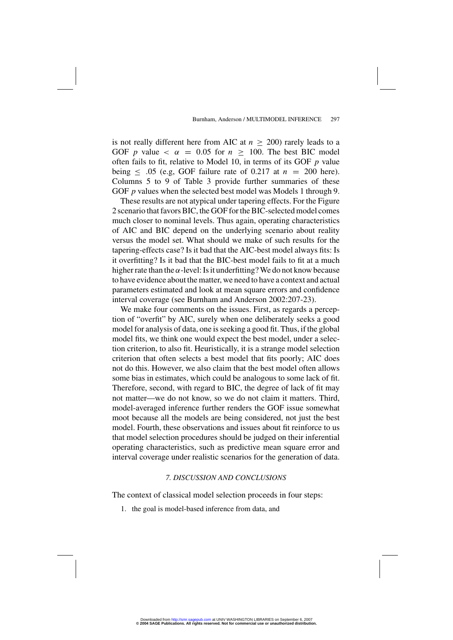is not really different here from AIC at  $n \geq 200$ ) rarely leads to a GOF p value  $\langle \alpha \rangle = 0.05$  for  $n \geq 100$ . The best BIC model often fails to fit, relative to Model 10, in terms of its GOF  $p$  value being  $\leq .05$  (e.g, GOF failure rate of 0.217 at  $n = 200$  here). Columns 5 to 9 of Table 3 provide further summaries of these GOF p values when the selected best model was Models 1 through 9.

These results are not atypical under tapering effects. For the Figure 2 scenario that favors BIC, the GOF for the BIC-selected model comes much closer to nominal levels. Thus again, operating characteristics of AIC and BIC depend on the underlying scenario about reality versus the model set. What should we make of such results for the tapering-effects case? Is it bad that the AIC-best model always fits: Is it overfitting? Is it bad that the BIC-best model fails to fit at a much higher rate than the  $\alpha$ -level: Is it underfitting? We do not know because to have evidence about the matter, we need to have a context and actual parameters estimated and look at mean square errors and confidence interval coverage (see Burnham and Anderson 2002:207-23).

We make four comments on the issues. First, as regards a perception of "overfit" by AIC, surely when one deliberately seeks a good model for analysis of data, one is seeking a good fit. Thus, if the global model fits, we think one would expect the best model, under a selection criterion, to also fit. Heuristically, it is a strange model selection criterion that often selects a best model that fits poorly; AIC does not do this. However, we also claim that the best model often allows some bias in estimates, which could be analogous to some lack of fit. Therefore, second, with regard to BIC, the degree of lack of fit may not matter—we do not know, so we do not claim it matters. Third, model-averaged inference further renders the GOF issue somewhat moot because all the models are being considered, not just the best model. Fourth, these observations and issues about fit reinforce to us that model selection procedures should be judged on their inferential operating characteristics, such as predictive mean square error and interval coverage under realistic scenarios for the generation of data.

# *7. DISCUSSION AND CONCLUSIONS*

The context of classical model selection proceeds in four steps:

1. the goal is model-based inference from data, and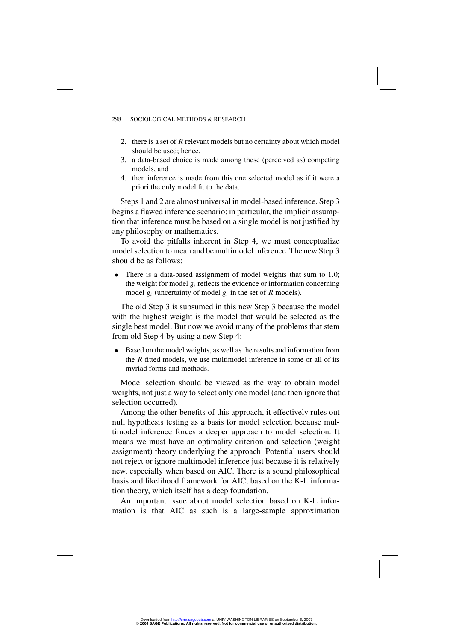- 2. there is a set of  $R$  relevant models but no certainty about which model should be used; hence,
- 3. a data-based choice is made among these (perceived as) competing models, and
- 4. then inference is made from this one selected model as if it were a priori the only model fit to the data.

Steps 1 and 2 are almost universal in model-based inference. Step 3 begins a flawed inference scenario; in particular, the implicit assumption that inference must be based on a single model is not justified by any philosophy or mathematics.

To avoid the pitfalls inherent in Step 4, we must conceptualize model selection to mean and be multimodel inference. The new Step 3 should be as follows:

There is a data-based assignment of model weights that sum to 1.0; the weight for model  $g_i$  reflects the evidence or information concerning model  $g_i$  (uncertainty of model  $g_i$  in the set of R models).

The old Step 3 is subsumed in this new Step 3 because the model with the highest weight is the model that would be selected as the single best model. But now we avoid many of the problems that stem from old Step 4 by using a new Step 4:

• Based on the model weights, as well as the results and information from the  $R$  fitted models, we use multimodel inference in some or all of its myriad forms and methods.

Model selection should be viewed as the way to obtain model weights, not just a way to select only one model (and then ignore that selection occurred).

Among the other benefits of this approach, it effectively rules out null hypothesis testing as a basis for model selection because multimodel inference forces a deeper approach to model selection. It means we must have an optimality criterion and selection (weight assignment) theory underlying the approach. Potential users should not reject or ignore multimodel inference just because it is relatively new, especially when based on AIC. There is a sound philosophical basis and likelihood framework for AIC, based on the K-L information theory, which itself has a deep foundation.

An important issue about model selection based on K-L information is that AIC as such is a large-sample approximation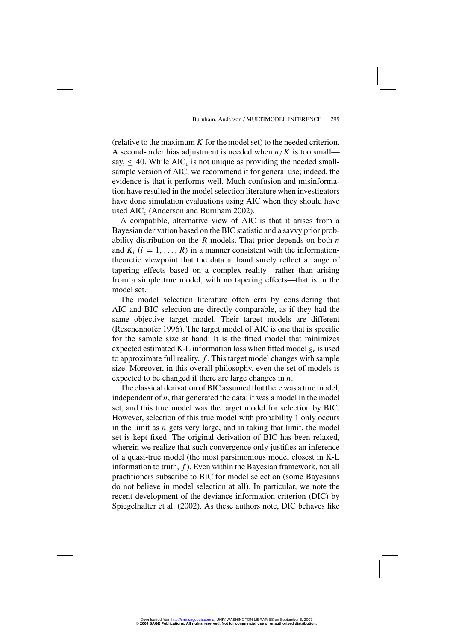(relative to the maximum  $K$  for the model set) to the needed criterion. A second-order bias adjustment is needed when  $n/K$  is too small say,  $\leq 40$ . While AIC<sub>c</sub> is not unique as providing the needed smallsample version of AIC, we recommend it for general use; indeed, the evidence is that it performs well. Much confusion and misinformation have resulted in the model selection literature when investigators have done simulation evaluations using AIC when they should have used  $AIC_c$  (Anderson and Burnham 2002).

A compatible, alternative view of AIC is that it arises from a Bayesian derivation based on the BIC statistic and a savvy prior probability distribution on the  $R$  models. That prior depends on both  $n$ and  $K_i$   $(i = 1, ..., R)$  in a manner consistent with the informationtheoretic viewpoint that the data at hand surely reflect a range of tapering effects based on a complex reality—rather than arising from a simple true model, with no tapering effects—that is in the model set.

The model selection literature often errs by considering that AIC and BIC selection are directly comparable, as if they had the same objective target model. Their target models are different (Reschenhofer 1996). The target model of AIC is one that is specific for the sample size at hand: It is the fitted model that minimizes expected estimated K-L information loss when fitted model  $g_r$  is used to approximate full reality,  $f$ . This target model changes with sample size. Moreover, in this overall philosophy, even the set of models is expected to be changed if there are large changes in  $n$ .

The classical derivation of BIC assumed that there was a true model, independent of  $n$ , that generated the data; it was a model in the model set, and this true model was the target model for selection by BIC. However, selection of this true model with probability 1 only occurs in the limit as  $n$  gets very large, and in taking that limit, the model set is kept fixed. The original derivation of BIC has been relaxed, wherein we realize that such convergence only justifies an inference of a quasi-true model (the most parsimonious model closest in K-L information to truth,  $f$ ). Even within the Bayesian framework, not all practitioners subscribe to BIC for model selection (some Bayesians do not believe in model selection at all). In particular, we note the recent development of the deviance information criterion (DIC) by Spiegelhalter et al. (2002). As these authors note, DIC behaves like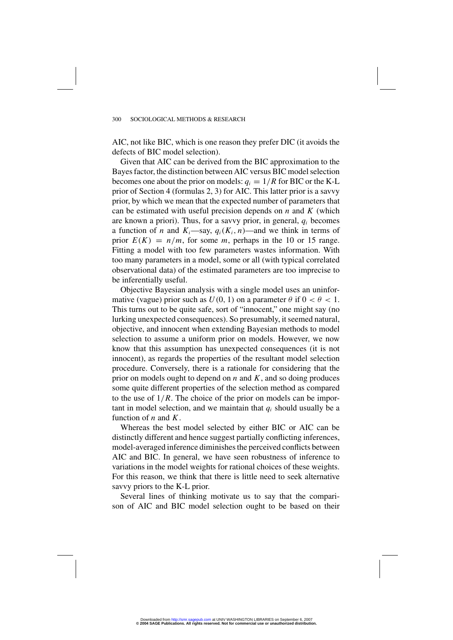AIC, not like BIC, which is one reason they prefer DIC (it avoids the defects of BIC model selection).

Given that AIC can be derived from the BIC approximation to the Bayes factor, the distinction between AIC versus BIC model selection becomes one about the prior on models:  $q_i = 1/R$  for BIC or the K-L prior of Section 4 (formulas 2, 3) for AIC. This latter prior is a savvy prior, by which we mean that the expected number of parameters that can be estimated with useful precision depends on  $n$  and  $K$  (which are known a priori). Thus, for a savvy prior, in general,  $q_i$  becomes a function of n and  $K_i$ —say,  $q_i(K_i, n)$ —and we think in terms of prior  $E(K) = n/m$ , for some m, perhaps in the 10 or 15 range. Fitting a model with too few parameters wastes information. With too many parameters in a model, some or all (with typical correlated observational data) of the estimated parameters are too imprecise to be inferentially useful.

Objective Bayesian analysis with a single model uses an uninformative (vague) prior such as  $U(0, 1)$  on a parameter  $\theta$  if  $0 < \theta < 1$ . This turns out to be quite safe, sort of "innocent," one might say (no lurking unexpected consequences). So presumably, it seemed natural, objective, and innocent when extending Bayesian methods to model selection to assume a uniform prior on models. However, we now know that this assumption has unexpected consequences (it is not innocent), as regards the properties of the resultant model selection procedure. Conversely, there is a rationale for considering that the prior on models ought to depend on  $n$  and  $K$ , and so doing produces some quite different properties of the selection method as compared to the use of  $1/R$ . The choice of the prior on models can be important in model selection, and we maintain that  $q_i$  should usually be a function of  $n$  and  $K$ .

Whereas the best model selected by either BIC or AIC can be distinctly different and hence suggest partially conflicting inferences, model-averaged inference diminishes the perceived conflicts between AIC and BIC. In general, we have seen robustness of inference to variations in the model weights for rational choices of these weights. For this reason, we think that there is little need to seek alternative savvy priors to the K-L prior.

Several lines of thinking motivate us to say that the comparison of AIC and BIC model selection ought to be based on their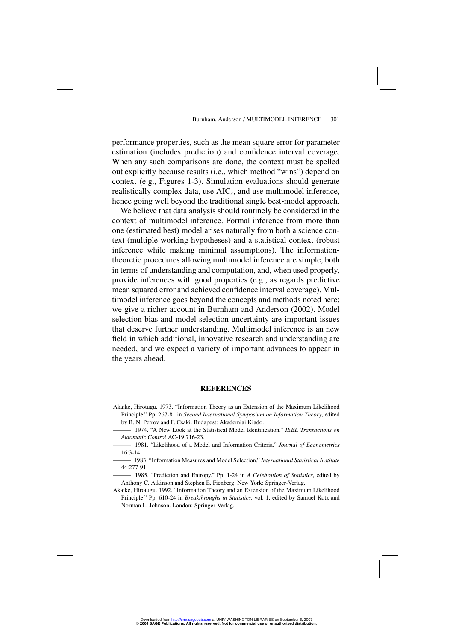performance properties, such as the mean square error for parameter estimation (includes prediction) and confidence interval coverage. When any such comparisons are done, the context must be spelled out explicitly because results (i.e., which method "wins") depend on context (e.g., Figures 1-3). Simulation evaluations should generate realistically complex data, use  $AIC<sub>c</sub>$ , and use multimodel inference, hence going well beyond the traditional single best-model approach.

We believe that data analysis should routinely be considered in the context of multimodel inference. Formal inference from more than one (estimated best) model arises naturally from both a science context (multiple working hypotheses) and a statistical context (robust inference while making minimal assumptions). The informationtheoretic procedures allowing multimodel inference are simple, both in terms of understanding and computation, and, when used properly, provide inferences with good properties (e.g., as regards predictive mean squared error and achieved confidence interval coverage). Multimodel inference goes beyond the concepts and methods noted here; we give a richer account in Burnham and Anderson (2002). Model selection bias and model selection uncertainty are important issues that deserve further understanding. Multimodel inference is an new field in which additional, innovative research and understanding are needed, and we expect a variety of important advances to appear in the years ahead.

### **REFERENCES**

Akaike, Hirotugu. 1973. "Information Theory as an Extension of the Maximum Likelihood Principle." Pp. 267-81 in *Second International Symposium on Information Theory*, edited by B. N. Petrov and F. Csaki. Budapest: Akademiai Kiado.

<sup>———. 1974. &</sup>quot;A New Look at the Statistical Model Identification." *IEEE Transactions on Automatic Control* AC-19:716-23.

<sup>———. 1981. &</sup>quot;Likelihood of a Model and Information Criteria." *Journal of Econometrics* 16:3-14.

<sup>———. 1983. &</sup>quot;Information Measures and Model Selection." *International Statistical Institute* 44:277-91.

<sup>———. 1985. &</sup>quot;Prediction and Entropy." Pp. 1-24 in *A Celebration of Statistics*, edited by Anthony C. Atkinson and Stephen E. Fienberg. New York: Springer-Verlag.

Akaike, Hirotugu. 1992. "Information Theory and an Extension of the Maximum Likelihood Principle." Pp. 610-24 in *Breakthroughs in Statistics*, vol. 1, edited by Samuel Kotz and Norman L. Johnson. London: Springer-Verlag.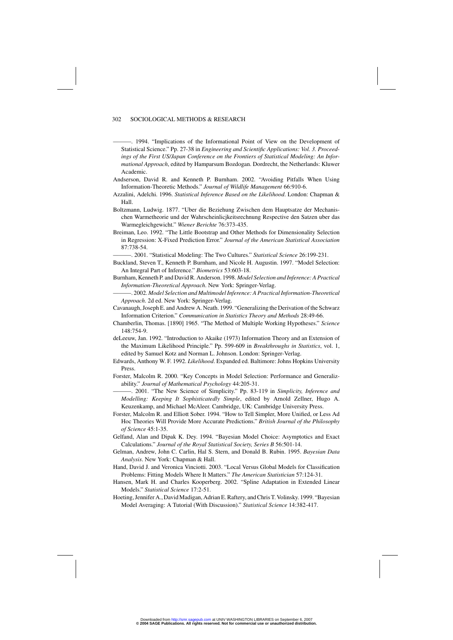- Andserson, David R. and Kenneth P. Burnham. 2002. "Avoiding Pitfalls When Using Information-Theoretic Methods." *Journal of Wildlife Management* 66:910-6.
- Azzalini, Adelchi. 1996. *Statistical Inference Based on the Likelihood*. London: Chapman & Hall.
- Boltzmann, Ludwig. 1877. "Uber die Beziehung Zwischen dem Hauptsatze der Mechanischen Warmetheorie und der Wahrscheinlicjkeitsrechnung Respective den Satzen uber das Warmegleichgewicht." *Wiener Berichte* 76:373-435.
- Breiman, Leo. 1992. "The Little Bootstrap and Other Methods for Dimensionality Selection in Regression: X-Fixed Prediction Error." *Journal of the American Statistical Association* 87:738-54.
	- ———. 2001. "Statistical Modeling: The Two Cultures." *Statistical Science* 26:199-231.
- Buckland, Steven T., Kenneth P. Burnham, and Nicole H. Augustin. 1997. "Model Selection: An Integral Part of Inference." *Biometrics* 53:603-18.
- Burnham, Kenneth P. and David R. Anderson. 1998. *Model Selection and Inference: A Practical Information-Theoretical Approach*. New York: Springer-Verlag.
- ———. 2002. *Model Selection and Multimodel Inference: A Practical Information-Theoretical Approach*. 2d ed. New York: Springer-Verlag.
- Cavanaugh, Joseph E. and Andrew A. Neath. 1999. "Generalizing the Derivation of the Schwarz Information Criterion." *Communication in Statistics Theory and Methods* 28:49-66.
- Chamberlin, Thomas. [1890] 1965. "The Method of Multiple Working Hypotheses." *Science* 148:754-9.
- deLeeuw, Jan. 1992. "Introduction to Akaike (1973) Information Theory and an Extension of the Maximum Likelihood Principle." Pp. 599-609 in *Breakthroughs in Statistics*, vol. 1, edited by Samuel Kotz and Norman L. Johnson. London: Springer-Verlag.
- Edwards, Anthony W. F. 1992. *Likelihood*. Expanded ed. Baltimore: Johns Hopkins University Press.
- Forster, Malcolm R. 2000. "Key Concepts in Model Selection: Performance and Generalizability." *Journal of Mathematical Psychology* 44:205-31.
- ———. 2001. "The New Science of Simplicity." Pp. 83-119 in *Simplicity, Inference and Modelling: Keeping It Sophisticatedly Simple*, edited by Arnold Zellner, Hugo A. Keuzenkamp, and Michael McAleer. Cambridge, UK: Cambridge University Press.
- Forster, Malcolm R. and Elliott Sober. 1994. "How to Tell Simpler, More Unified, or Less Ad Hoc Theories Will Provide More Accurate Predictions." *British Journal of the Philosophy of Science* 45:1-35.
- Gelfand, Alan and Dipak K. Dey. 1994. "Bayesian Model Choice: Asymptotics and Exact Calculations." *Journal of the Royal Statistical Society, Series B* 56:501-14.
- Gelman, Andrew, John C. Carlin, Hal S. Stern, and Donald B. Rubin. 1995. *Bayesian Data Analysis*. New York: Chapman & Hall.
- Hand, David J. and Veronica Vinciotti. 2003. "Local Versus Global Models for Classification Problems: Fitting Models Where It Matters." *The American Statistician* 57:124-31.
- Hansen, Mark H. and Charles Kooperberg. 2002. "Spline Adaptation in Extended Linear Models." *Statistical Science* 17:2-51.
- Hoeting, Jennifer A., David Madigan, Adrian E. Raftery, and Chris T. Volinsky. 1999. "Bayesian Model Averaging: A Tutorial (With Discussion)." *Statistical Science* 14:382-417.

<sup>———. 1994. &</sup>quot;Implications of the Informational Point of View on the Development of Statistical Science." Pp. 27-38 in *Engineering and Scientific Applications: Vol. 3. Proceedings of the First US/Japan Conference on the Frontiers of Statistical Modeling: An Informational Approach*, edited by Hamparsum Bozdogan. Dordrecht, the Netherlands: Kluwer Academic.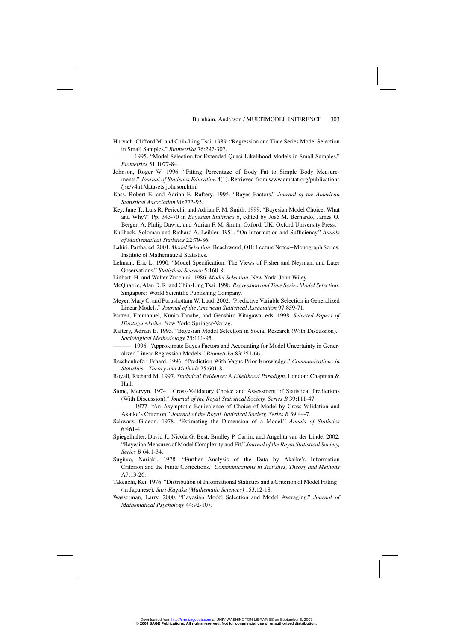- Hurvich, Clifford M. and Chih-Ling Tsai. 1989. "Regression and Time Series Model Selection in Small Samples." *Biometrika* 76:297-307.
- ———. 1995. "Model Selection for Extended Quasi-Likelihood Models in Small Samples." *Biometrics* 51:1077-84.
- Johnson, Roger W. 1996. "Fitting Percentage of Body Fat to Simple Body Measurements." *Journal of Statistics Education* 4(1). Retrieved from www.amstat.org/publications /jse/v4n1/datasets.johnson.html
- Kass, Robert E. and Adrian E. Raftery. 1995. "Bayes Factors." *Journal of the American Statistical Association* 90:773-95.
- Key, Jane T., Luis R. Pericchi, and Adrian F. M. Smith. 1999. "Bayesian Model Choice: What and Why?" Pp. 343-70 in *Bayesian Statistics 6*, edited by Jose M. Bernardo, James O. ´ Berger, A. Philip Dawid, and Adrian F. M. Smith. Oxford, UK: Oxford University Press.
- Kullback, Soloman and Richard A. Leibler. 1951. "On Information and Sufficiency." *Annals of Mathematical Statistics* 22:79-86.
- Lahiri, Partha, ed. 2001. *Model Selection*. Beachwood, OH: Lecture Notes−Monograph Series, Institute of Mathematical Statistics.
- Lehman, Eric L. 1990. "Model Specification: The Views of Fisher and Neyman, and Later Observations." *Statistical Science* 5:160-8.
- Linhart, H. and Walter Zucchini. 1986. *Model Selection*. New York: John Wiley.
- McQuarrie, Alan D. R. and Chih-Ling Tsai. 1998. *Regression and Time Series Model Selection*. Singapore: World Scientific Publishing Company.
- Meyer, Mary C. and Purushottam W. Laud. 2002. "Predictive Variable Selection in Generalized Linear Models." *Journal of the American Statistical Association* 97:859-71.
- Parzen, Emmanuel, Kunio Tanabe, and Genshiro Kitagawa, eds. 1998. *Selected Papers of Hirotugu Akaike*. New York: Springer-Verlag.
- Raftery, Adrian E. 1995. "Bayesian Model Selection in Social Research (With Discussion)." *Sociological Methodology* 25:111-95.
- . 1996. "Approximate Bayes Factors and Accounting for Model Uncertainty in Generalized Linear Regression Models." *Biometrika* 83:251-66.
- Reschenhofer, Erhard. 1996. "Prediction With Vague Prior Knowledge." *Communications in Statistics—Theory and Methods* 25:601-8.
- Royall, Richard M. 1997. *Statistical Evidence: A Likelihood Paradigm*. London: Chapman & Hall.
- Stone, Mervyn. 1974. "Cross-Validatory Choice and Assessment of Statistical Predictions (With Discussion)." *Journal of the Royal Statistical Society, Series B* 39:111-47.
- . 1977. "An Asymptotic Equivalence of Choice of Model by Cross-Validation and Akaike's Criterion." *Journal of the Royal Statistical Society, Series B* 39:44-7.
- Schwarz, Gideon. 1978. "Estimating the Dimension of a Model." *Annals of Statistics* 6:461-4.
- Spiegelhalter, David J., Nicola G. Best, Bradley P. Carlin, and Angelita van der Linde. 2002. "Bayesian Measures of Model Complexity and Fit." *Journal of the Royal Statistical Society, Series B* 64:1-34.
- Sugiura, Nariaki. 1978. "Further Analysis of the Data by Akaike's Information Criterion and the Finite Corrections." *Communications in Statistics, Theory and Methods*  $A7.13-26$
- Takeuchi, Kei. 1976. "Distribution of Informational Statistics and a Criterion of Model Fitting" (in Japanese). *Suri-Kagaku (Mathematic Sciences)* 153:12-18.
- Wasserman, Larry. 2000. "Bayesian Model Selection and Model Averaging." *Journal of Mathematical Psychology* 44:92-107.